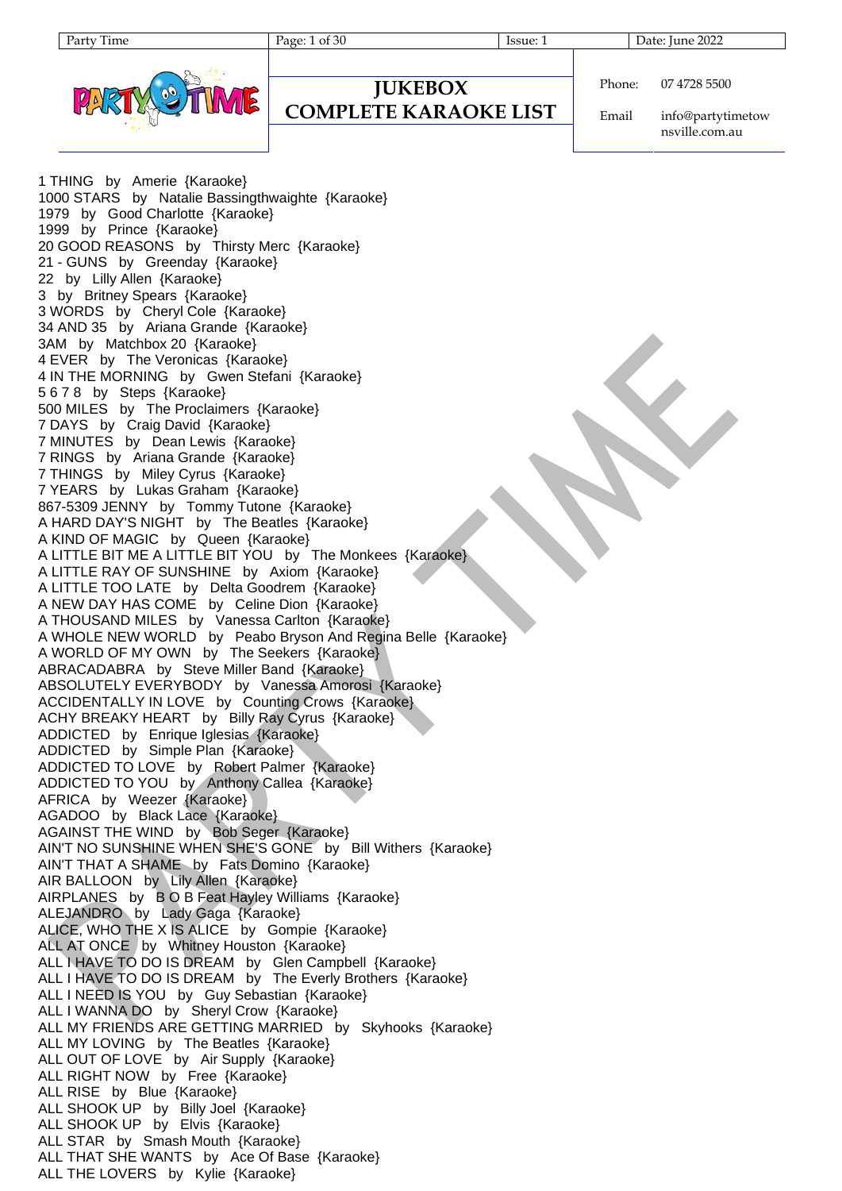Page: 1 of 30 Issue: 1 Date: June 2022



**JUKEBOX**

#### **COMPLETE KARAOKE LIST**

Phone: 07 4728 5500

Email info@partytimetow nsville.com.au

1 THING by Amerie {Karaoke} 1000 STARS by Natalie Bassingthwaighte {Karaoke} 1979 by Good Charlotte {Karaoke} 1999 by Prince {Karaoke} 20 GOOD REASONS by Thirsty Merc {Karaoke} 21 - GUNS by Greenday {Karaoke} 22 by Lilly Allen {Karaoke} 3 by Britney Spears {Karaoke} 3 WORDS by Cheryl Cole {Karaoke} 34 AND 35 by Ariana Grande {Karaoke} 3AM by Matchbox 20 {Karaoke} 4 EVER by The Veronicas {Karaoke} 4 IN THE MORNING by Gwen Stefani {Karaoke} 5 6 7 8 by Steps {Karaoke} 500 MILES by The Proclaimers {Karaoke} 7 DAYS by Craig David {Karaoke} 7 MINUTES by Dean Lewis {Karaoke} 7 RINGS by Ariana Grande {Karaoke} 7 THINGS by Miley Cyrus {Karaoke} 7 YEARS by Lukas Graham {Karaoke} 867-5309 JENNY by Tommy Tutone {Karaoke} A HARD DAY'S NIGHT by The Beatles {Karaoke} A KIND OF MAGIC by Queen {Karaoke} A LITTLE BIT ME A LITTLE BIT YOU by The Monkees {Karaoke} A LITTLE RAY OF SUNSHINE by Axiom {Karaoke} A LITTLE TOO LATE by Delta Goodrem {Karaoke} A NEW DAY HAS COME by Celine Dion {Karaoke} A THOUSAND MILES by Vanessa Carlton {Karaoke} A WHOLE NEW WORLD by Peabo Bryson And Regina Belle {Karaoke} A WORLD OF MY OWN by The Seekers {Karaoke} ABRACADABRA by Steve Miller Band {Karaoke} ABSOLUTELY EVERYBODY by Vanessa Amorosi {Karaoke} ACCIDENTALLY IN LOVE by Counting Crows {Karaoke} ACHY BREAKY HEART by Billy Ray Cyrus {Karaoke} ADDICTED by Enrique Iglesias {Karaoke} ADDICTED by Simple Plan {Karaoke} ADDICTED TO LOVE by Robert Palmer {Karaoke} ADDICTED TO YOU by Anthony Callea {Karaoke} AFRICA by Weezer {Karaoke} AGADOO by Black Lace {Karaoke} AGAINST THE WIND by Bob Seger {Karaoke} AIN'T NO SUNSHINE WHEN SHE'S GONE by Bill Withers {Karaoke} AIN'T THAT A SHAME by Fats Domino {Karaoke} AIR BALLOON by Lily Allen {Karaoke} AIRPLANES by B O B Feat Hayley Williams {Karaoke} ALEJANDRO by Lady Gaga {Karaoke} ALICE, WHO THE X IS ALICE by Gompie {Karaoke} ALL AT ONCE by Whitney Houston {Karaoke} ALL I HAVE TO DO IS DREAM by Glen Campbell {Karaoke} ALL I HAVE TO DO IS DREAM by The Everly Brothers {Karaoke} ALL I NEED IS YOU by Guy Sebastian {Karaoke} ALL I WANNA DO by Sheryl Crow {Karaoke} ALL MY FRIENDS ARE GETTING MARRIED by Skyhooks {Karaoke} ALL MY LOVING by The Beatles {Karaoke} ALL OUT OF LOVE by Air Supply {Karaoke} ALL RIGHT NOW by Free {Karaoke} ALL RISE by Blue {Karaoke} ALL SHOOK UP by Billy Joel {Karaoke} ALL SHOOK UP by Elvis {Karaoke} ALL STAR by Smash Mouth {Karaoke} ALL THAT SHE WANTS by Ace Of Base {Karaoke} ALL THE LOVERS by Kylie {Karaoke}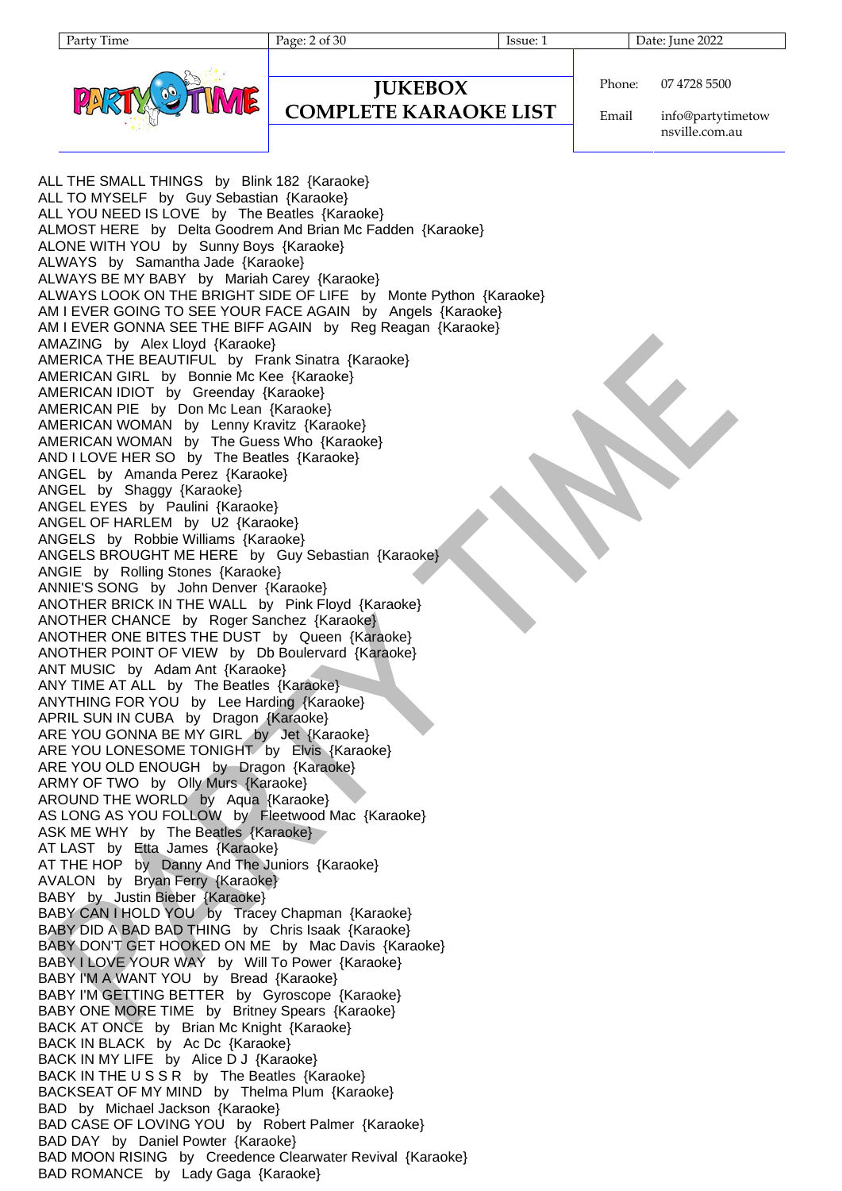Party Time Page: 2 of 30 Issue: 1 Date: June 2022



```
JUKEBOX
COMPLETE KARAOKE LIST
```
Phone: 07 4728 5500

Email info@partytimetow nsville.com.au

ALL THE SMALL THINGS by Blink 182 {Karaoke} ALL TO MYSELF by Guy Sebastian {Karaoke} ALL YOU NEED IS LOVE by The Beatles {Karaoke} ALMOST HERE by Delta Goodrem And Brian Mc Fadden {Karaoke} ALONE WITH YOU by Sunny Boys {Karaoke} ALWAYS by Samantha Jade {Karaoke} ALWAYS BE MY BABY by Mariah Carey {Karaoke} ALWAYS LOOK ON THE BRIGHT SIDE OF LIFE by Monte Python {Karaoke} AM I EVER GOING TO SEE YOUR FACE AGAIN by Angels {Karaoke} AM I EVER GONNA SEE THE BIFF AGAIN by Reg Reagan {Karaoke} AMAZING by Alex Lloyd {Karaoke} AMERICA THE BEAUTIFUL by Frank Sinatra {Karaoke} AMERICAN GIRL by Bonnie Mc Kee {Karaoke} AMERICAN IDIOT by Greenday {Karaoke} AMERICAN PIE by Don Mc Lean {Karaoke} AMERICAN WOMAN by Lenny Kravitz {Karaoke} AMERICAN WOMAN by The Guess Who {Karaoke} AND I LOVE HER SO by The Beatles {Karaoke} ANGEL by Amanda Perez {Karaoke} ANGEL by Shaggy {Karaoke} ANGEL EYES by Paulini {Karaoke} ANGEL OF HARLEM by U2 {Karaoke} ANGELS by Robbie Williams {Karaoke} ANGELS BROUGHT ME HERE by Guy Sebastian {Karaoke} ANGIE by Rolling Stones {Karaoke} ANNIE'S SONG by John Denver {Karaoke} ANOTHER BRICK IN THE WALL by Pink Floyd {Karaoke} ANOTHER CHANCE by Roger Sanchez {Karaoke} ANOTHER ONE BITES THE DUST by Queen {Karaoke} ANOTHER POINT OF VIEW by Db Boulervard {Karaoke} ANT MUSIC by Adam Ant {Karaoke} ANY TIME AT ALL by The Beatles {Karaoke} ANYTHING FOR YOU by Lee Harding {Karaoke} APRIL SUN IN CUBA by Dragon {Karaoke} ARE YOU GONNA BE MY GIRL by Jet {Karaoke} ARE YOU LONESOME TONIGHT by Elvis {Karaoke} ARE YOU OLD ENOUGH by Dragon {Karaoke} ARMY OF TWO by Olly Murs {Karaoke} AROUND THE WORLD by Aqua {Karaoke} AS LONG AS YOU FOLLOW by Fleetwood Mac {Karaoke} ASK ME WHY by The Beatles {Karaoke} AT LAST by Etta James {Karaoke} AT THE HOP by Danny And The Juniors {Karaoke} AVALON by Bryan Ferry {Karaoke} BABY by Justin Bieber {Karaoke} BABY CAN I HOLD YOU by Tracey Chapman {Karaoke} BABY DID A BAD BAD THING by Chris Isaak {Karaoke} BABY DON'T GET HOOKED ON ME by Mac Davis {Karaoke} BABY I LOVE YOUR WAY by Will To Power {Karaoke} BABY I'M A WANT YOU by Bread {Karaoke} BABY I'M GETTING BETTER by Gyroscope {Karaoke} BABY ONE MORE TIME by Britney Spears {Karaoke} BACK AT ONCE by Brian Mc Knight {Karaoke} BACK IN BLACK by Ac Dc {Karaoke} BACK IN MY LIFE by Alice D J {Karaoke} BACK IN THE U S S R by The Beatles {Karaoke} BACKSEAT OF MY MIND by Thelma Plum {Karaoke} BAD by Michael Jackson {Karaoke} BAD CASE OF LOVING YOU by Robert Palmer {Karaoke} BAD DAY by Daniel Powter {Karaoke} BAD MOON RISING by Creedence Clearwater Revival {Karaoke} BAD ROMANCE by Lady Gaga {Karaoke}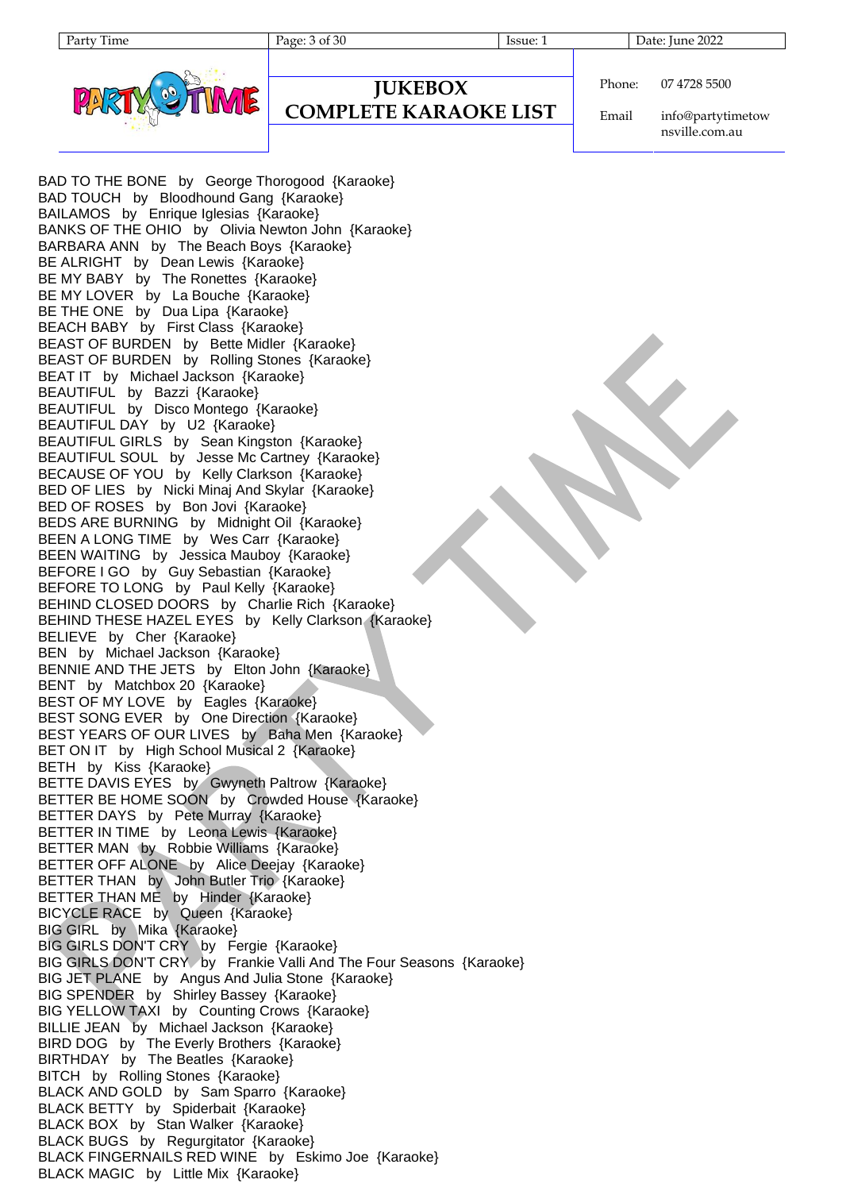Party Time Page: 3 of 30 Issue: 1 Date: June 2022



```
JUKEBOX
COMPLETE KARAOKE LIST
```
Phone: 07 4728 5500

Email info@partytimetow nsville.com.au

BAD TO THE BONE by George Thorogood {Karaoke} BAD TOUCH by Bloodhound Gang {Karaoke} BAILAMOS by Enrique Iglesias {Karaoke} BANKS OF THE OHIO by Olivia Newton John {Karaoke} BARBARA ANN by The Beach Boys {Karaoke} BE ALRIGHT by Dean Lewis {Karaoke} BE MY BABY by The Ronettes {Karaoke} BE MY LOVER by La Bouche {Karaoke} BE THE ONE by Dua Lipa {Karaoke} BEACH BABY by First Class {Karaoke} BEAST OF BURDEN by Bette Midler {Karaoke} BEAST OF BURDEN by Rolling Stones {Karaoke} BEAT IT by Michael Jackson {Karaoke} BEAUTIFUL by Bazzi {Karaoke} BEAUTIFUL by Disco Montego {Karaoke} BEAUTIFUL DAY by U2 {Karaoke} BEAUTIFUL GIRLS by Sean Kingston {Karaoke} BEAUTIFUL SOUL by Jesse Mc Cartney {Karaoke} BECAUSE OF YOU by Kelly Clarkson {Karaoke} BED OF LIES by Nicki Minaj And Skylar {Karaoke} BED OF ROSES by Bon Jovi {Karaoke} BEDS ARE BURNING by Midnight Oil {Karaoke} BEEN A LONG TIME by Wes Carr {Karaoke} BEEN WAITING by Jessica Mauboy {Karaoke} BEFORE I GO by Guy Sebastian {Karaoke} BEFORE TO LONG by Paul Kelly {Karaoke} BEHIND CLOSED DOORS by Charlie Rich {Karaoke} BEHIND THESE HAZEL EYES by Kelly Clarkson {Karaoke} BELIEVE by Cher {Karaoke} BEN by Michael Jackson {Karaoke} BENNIE AND THE JETS by Elton John {Karaoke} BENT by Matchbox 20 {Karaoke} BEST OF MY LOVE by Eagles {Karaoke} BEST SONG EVER by One Direction {Karaoke} BEST YEARS OF OUR LIVES by Baha Men {Karaoke} BET ON IT by High School Musical 2 {Karaoke} BETH by Kiss {Karaoke} BETTE DAVIS EYES by Gwyneth Paltrow {Karaoke} BETTER BE HOME SOON by Crowded House {Karaoke} BETTER DAYS by Pete Murray {Karaoke} BETTER IN TIME by Leona Lewis {Karaoke} BETTER MAN by Robbie Williams {Karaoke} BETTER OFF ALONE by Alice Deejay {Karaoke} BETTER THAN by John Butler Trio {Karaoke} BETTER THAN ME by Hinder {Karaoke} BICYCLE RACE by Queen {Karaoke} BIG GIRL by Mika {Karaoke} BIG GIRLS DON'T CRY by Fergie {Karaoke} BIG GIRLS DON'T CRY by Frankie Valli And The Four Seasons {Karaoke} BIG JET PLANE by Angus And Julia Stone {Karaoke} BIG SPENDER by Shirley Bassey {Karaoke} BIG YELLOW TAXI by Counting Crows {Karaoke} BILLIE JEAN by Michael Jackson {Karaoke} BIRD DOG by The Everly Brothers {Karaoke} BIRTHDAY by The Beatles {Karaoke} BITCH by Rolling Stones {Karaoke} BLACK AND GOLD by Sam Sparro {Karaoke} BLACK BETTY by Spiderbait {Karaoke} BLACK BOX by Stan Walker {Karaoke} BLACK BUGS by Regurgitator {Karaoke} BLACK FINGERNAILS RED WINE by Eskimo Joe {Karaoke} BLACK MAGIC by Little Mix {Karaoke}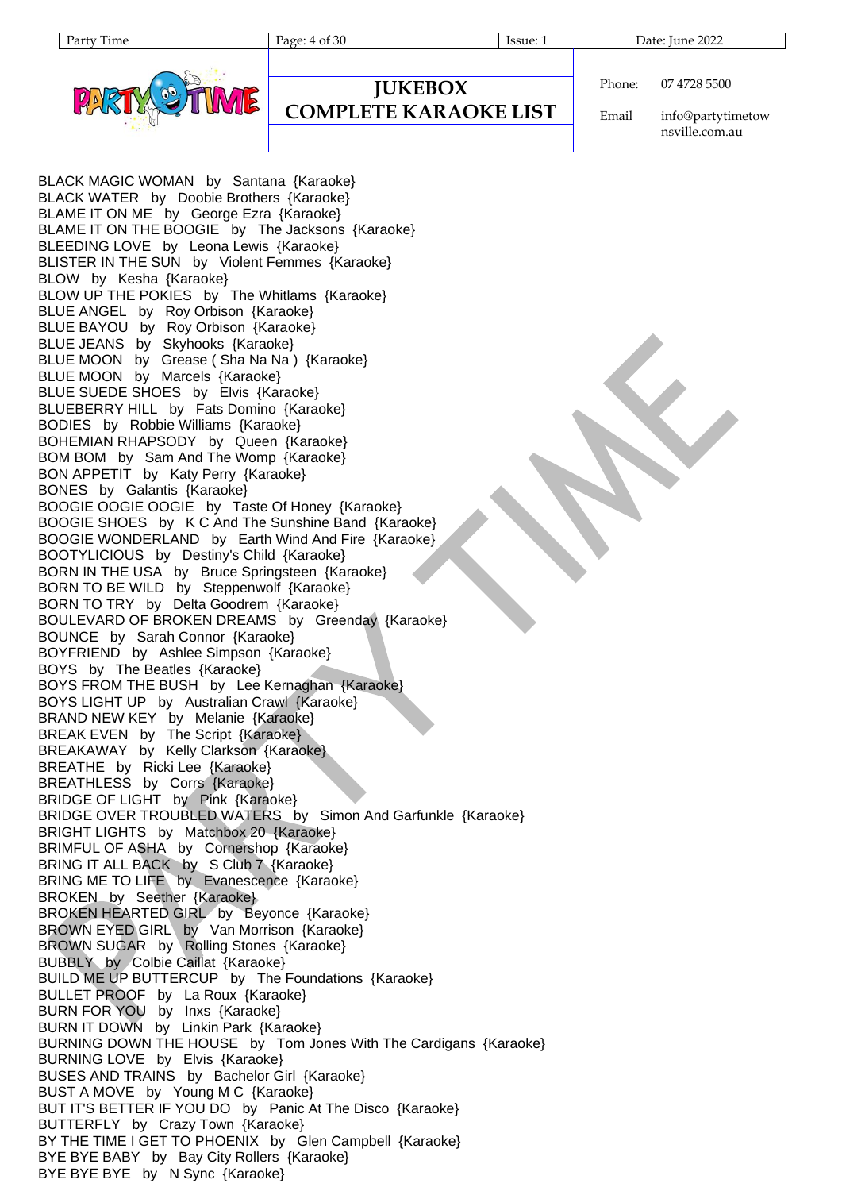

## **JUKEBOX**

#### **COMPLETE KARAOKE LIST**

Phone: 07 4728 5500

Email info@partytimetow nsville.com.au

BLACK MAGIC WOMAN by Santana {Karaoke} BLACK WATER by Doobie Brothers {Karaoke} BLAME IT ON ME by George Ezra {Karaoke} BLAME IT ON THE BOOGIE by The Jacksons {Karaoke} BLEEDING LOVE by Leona Lewis {Karaoke} BLISTER IN THE SUN by Violent Femmes {Karaoke} BLOW by Kesha {Karaoke} BLOW UP THE POKIES by The Whitlams {Karaoke} BLUE ANGEL by Roy Orbison {Karaoke} BLUE BAYOU by Roy Orbison {Karaoke} BLUE JEANS by Skyhooks {Karaoke} BLUE MOON by Grease (Sha Na Na ) {Karaoke} BLUE MOON by Marcels {Karaoke} BLUE SUEDE SHOES by Elvis {Karaoke} BLUEBERRY HILL by Fats Domino {Karaoke} BODIES by Robbie Williams {Karaoke} BOHEMIAN RHAPSODY by Queen {Karaoke} BOM BOM by Sam And The Womp {Karaoke} BON APPETIT by Katy Perry {Karaoke} BONES by Galantis {Karaoke} BOOGIE OOGIE OOGIE by Taste Of Honey {Karaoke} BOOGIE SHOES by K C And The Sunshine Band {Karaoke} BOOGIE WONDERLAND by Earth Wind And Fire {Karaoke} BOOTYLICIOUS by Destiny's Child {Karaoke} BORN IN THE USA by Bruce Springsteen {Karaoke} BORN TO BE WILD by Steppenwolf {Karaoke} BORN TO TRY by Delta Goodrem {Karaoke} BOULEVARD OF BROKEN DREAMS by Greenday {Karaoke} BOUNCE by Sarah Connor {Karaoke} BOYFRIEND by Ashlee Simpson {Karaoke} BOYS by The Beatles {Karaoke} BOYS FROM THE BUSH by Lee Kernaghan {Karaoke} BOYS LIGHT UP by Australian Crawl {Karaoke} BRAND NEW KEY by Melanie {Karaoke} BREAK EVEN by The Script {Karaoke} BREAKAWAY by Kelly Clarkson {Karaoke} BREATHE by Ricki Lee {Karaoke} BREATHLESS by Corrs {Karaoke} BRIDGE OF LIGHT by Pink {Karaoke} BRIDGE OVER TROUBLED WATERS by Simon And Garfunkle {Karaoke} BRIGHT LIGHTS by Matchbox 20 {Karaoke} BRIMFUL OF ASHA by Cornershop {Karaoke} BRING IT ALL BACK by S Club 7 {Karaoke} BRING ME TO LIFE by Evanescence {Karaoke} BROKEN by Seether {Karaoke} BROKEN HEARTED GIRL by Beyonce {Karaoke} BROWN EYED GIRL by Van Morrison {Karaoke} BROWN SUGAR by Rolling Stones {Karaoke} BUBBLY by Colbie Caillat {Karaoke} BUILD ME UP BUTTERCUP by The Foundations {Karaoke} BULLET PROOF by La Roux {Karaoke} BURN FOR YOU by Inxs {Karaoke} BURN IT DOWN by Linkin Park {Karaoke} BURNING DOWN THE HOUSE by Tom Jones With The Cardigans {Karaoke} BURNING LOVE by Elvis {Karaoke} BUSES AND TRAINS by Bachelor Girl {Karaoke} BUST A MOVE by Young M C {Karaoke} BUT IT'S BETTER IF YOU DO by Panic At The Disco {Karaoke} BUTTERFLY by Crazy Town {Karaoke} BY THE TIME I GET TO PHOENIX by Glen Campbell {Karaoke} BYE BYE BABY by Bay City Rollers {Karaoke} BYE BYE BYE by N Sync {Karaoke}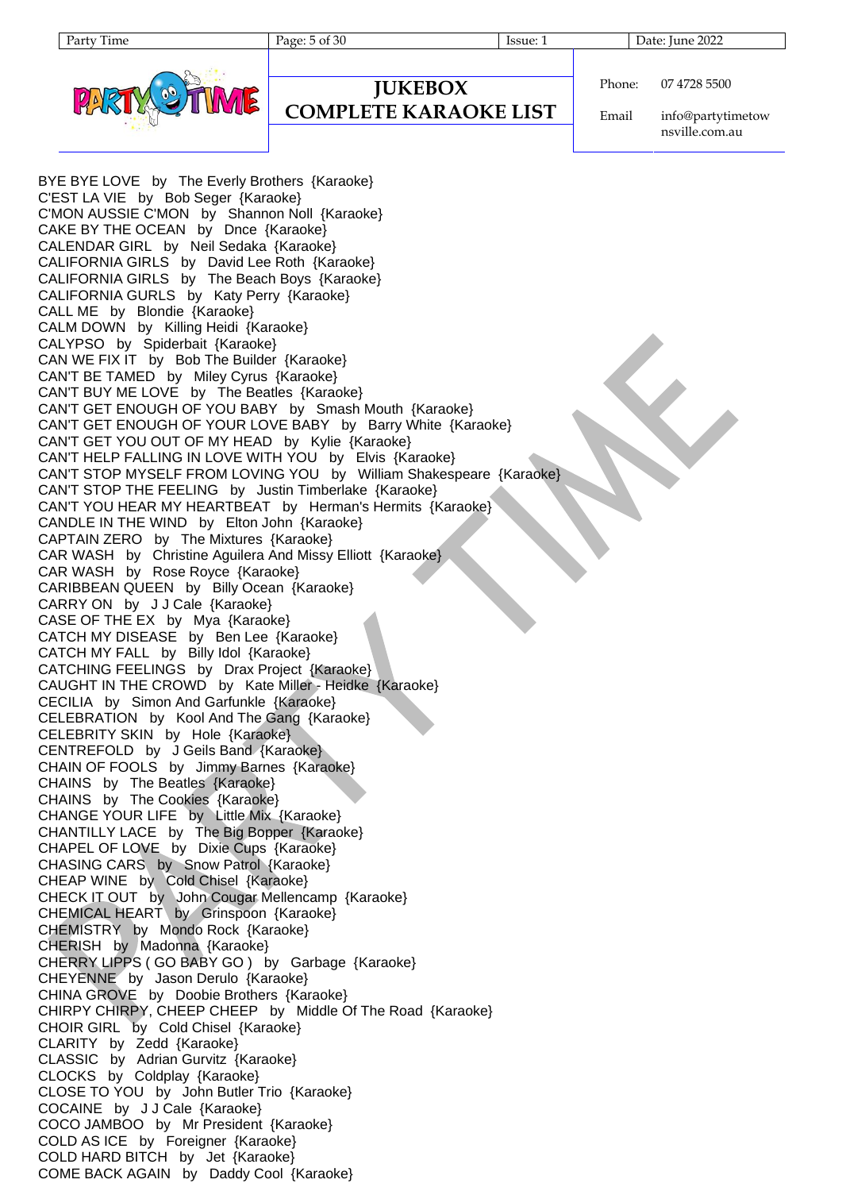Party Time Page: 5 of 30 Issue: 1 Date: June 2022



**JUKEBOX**

#### **COMPLETE KARAOKE LIST**

Phone: 07 4728 5500

Email info@partytimetow nsville.com.au

BYE BYE LOVE by The Everly Brothers {Karaoke} C'EST LA VIE by Bob Seger {Karaoke} C'MON AUSSIE C'MON by Shannon Noll {Karaoke} CAKE BY THE OCEAN by Dnce {Karaoke} CALENDAR GIRL by Neil Sedaka {Karaoke} CALIFORNIA GIRLS by David Lee Roth {Karaoke} CALIFORNIA GIRLS by The Beach Boys {Karaoke} CALIFORNIA GURLS by Katy Perry {Karaoke} CALL ME by Blondie {Karaoke} CALM DOWN by Killing Heidi {Karaoke} CALYPSO by Spiderbait {Karaoke} CAN WE FIX IT by Bob The Builder {Karaoke} CAN'T BE TAMED by Miley Cyrus {Karaoke} CAN'T BUY ME LOVE by The Beatles {Karaoke} CAN'T GET ENOUGH OF YOU BABY by Smash Mouth {Karaoke} CAN'T GET ENOUGH OF YOUR LOVE BABY by Barry White {Karaoke} CAN'T GET YOU OUT OF MY HEAD by Kylie {Karaoke} CAN'T HELP FALLING IN LOVE WITH YOU by Elvis {Karaoke} CAN'T STOP MYSELF FROM LOVING YOU by William Shakespeare {Karaoke} CAN'T STOP THE FEELING by Justin Timberlake {Karaoke} CAN'T YOU HEAR MY HEARTBEAT by Herman's Hermits {Karaoke} CANDLE IN THE WIND by Elton John {Karaoke} CAPTAIN ZERO by The Mixtures {Karaoke} CAR WASH by Christine Aguilera And Missy Elliott {Karaoke} CAR WASH by Rose Royce {Karaoke} CARIBBEAN QUEEN by Billy Ocean {Karaoke} CARRY ON by J J Cale {Karaoke} CASE OF THE EX by Mya {Karaoke} CATCH MY DISEASE by Ben Lee {Karaoke} CATCH MY FALL by Billy Idol {Karaoke} CATCHING FEELINGS by Drax Project {Karaoke} CAUGHT IN THE CROWD by Kate Miller - Heidke {Karaoke} CECILIA by Simon And Garfunkle {Karaoke} CELEBRATION by Kool And The Gang {Karaoke} CELEBRITY SKIN by Hole {Karaoke} CENTREFOLD by J Geils Band {Karaoke} CHAIN OF FOOLS by Jimmy Barnes {Karaoke} CHAINS by The Beatles {Karaoke} CHAINS by The Cookies {Karaoke} CHANGE YOUR LIFE by Little Mix {Karaoke} CHANTILLY LACE by The Big Bopper {Karaoke} CHAPEL OF LOVE by Dixie Cups {Karaoke} CHASING CARS by Snow Patrol {Karaoke} CHEAP WINE by Cold Chisel {Karaoke} CHECK IT OUT by John Cougar Mellencamp {Karaoke} CHEMICAL HEART by Grinspoon {Karaoke} CHEMISTRY by Mondo Rock {Karaoke} CHERISH by Madonna {Karaoke} CHERRY LIPPS ( GO BABY GO ) by Garbage {Karaoke} CHEYENNE by Jason Derulo {Karaoke} CHINA GROVE by Doobie Brothers {Karaoke} CHIRPY CHIRPY, CHEEP CHEEP by Middle Of The Road {Karaoke} CHOIR GIRL by Cold Chisel {Karaoke} CLARITY by Zedd {Karaoke} CLASSIC by Adrian Gurvitz {Karaoke} CLOCKS by Coldplay {Karaoke} CLOSE TO YOU by John Butler Trio {Karaoke} COCAINE by J J Cale {Karaoke} COCO JAMBOO by Mr President {Karaoke} COLD AS ICE by Foreigner {Karaoke} COLD HARD BITCH by Jet {Karaoke} COME BACK AGAIN by Daddy Cool {Karaoke}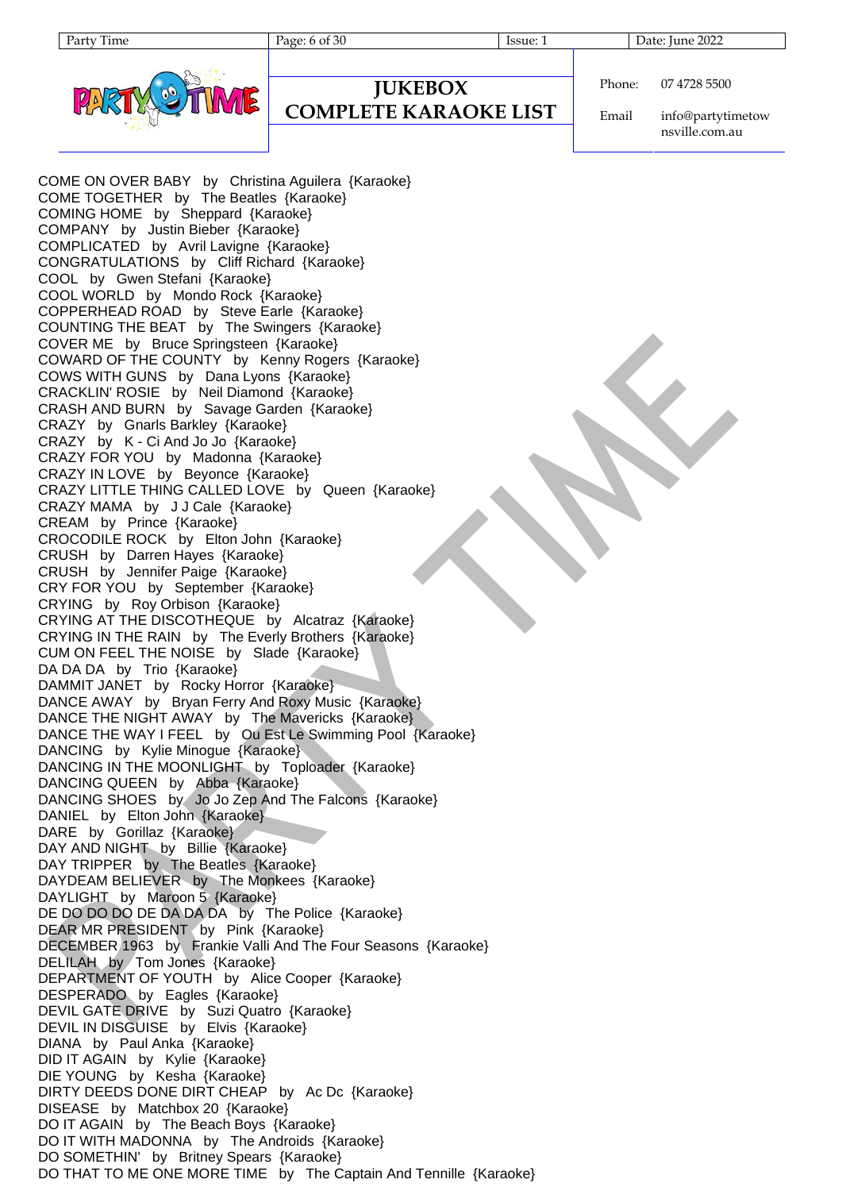

#### **JUKEBOX COMPLETE KARAOKE LIST**

Party Time Page: 6 of 30 Issue: 1 Date: June 2022

Phone: 07 4728 5500

Email info@partytimetow nsville.com.au

COME ON OVER BABY by Christina Aguilera {Karaoke} COME TOGETHER by The Beatles {Karaoke} COMING HOME by Sheppard {Karaoke} COMPANY by Justin Bieber {Karaoke} COMPLICATED by Avril Lavigne {Karaoke} CONGRATULATIONS by Cliff Richard {Karaoke} COOL by Gwen Stefani {Karaoke} COOL WORLD by Mondo Rock {Karaoke} COPPERHEAD ROAD by Steve Earle {Karaoke} COUNTING THE BEAT by The Swingers {Karaoke} COVER ME by Bruce Springsteen {Karaoke} COWARD OF THE COUNTY by Kenny Rogers {Karaoke} COWS WITH GUNS by Dana Lyons {Karaoke} CRACKLIN' ROSIE by Neil Diamond {Karaoke} CRASH AND BURN by Savage Garden {Karaoke} CRAZY by Gnarls Barkley {Karaoke} CRAZY by K - Ci And Jo Jo {Karaoke} CRAZY FOR YOU by Madonna {Karaoke} CRAZY IN LOVE by Beyonce {Karaoke} CRAZY LITTLE THING CALLED LOVE by Queen {Karaoke} CRAZY MAMA by J J Cale {Karaoke} CREAM by Prince {Karaoke} CROCODILE ROCK by Elton John {Karaoke} CRUSH by Darren Hayes {Karaoke} CRUSH by Jennifer Paige {Karaoke} CRY FOR YOU by September {Karaoke} CRYING by Roy Orbison {Karaoke} CRYING AT THE DISCOTHEQUE by Alcatraz {Karaoke} CRYING IN THE RAIN by The Everly Brothers {Karaoke} CUM ON FEEL THE NOISE by Slade {Karaoke} DA DA DA by Trio {Karaoke} DAMMIT JANET by Rocky Horror {Karaoke} DANCE AWAY by Bryan Ferry And Roxy Music {Karaoke} DANCE THE NIGHT AWAY by The Mavericks {Karaoke} DANCE THE WAY I FEEL by Ou Est Le Swimming Pool {Karaoke} DANCING by Kylie Minogue {Karaoke} DANCING IN THE MOONLIGHT by Toploader {Karaoke} DANCING QUEEN by Abba {Karaoke} DANCING SHOES by Jo Jo Zep And The Falcons {Karaoke} DANIEL by Elton John {Karaoke} DARE by Gorillaz {Karaoke} DAY AND NIGHT by Billie {Karaoke} DAY TRIPPER by The Beatles {Karaoke} DAYDEAM BELIEVER by The Monkees {Karaoke} DAYLIGHT by Maroon 5 {Karaoke} DE DO DO DO DE DA DA DA by The Police {Karaoke} DEAR MR PRESIDENT by Pink {Karaoke} DECEMBER 1963 by Frankie Valli And The Four Seasons {Karaoke} DELILAH by Tom Jones {Karaoke} DEPARTMENT OF YOUTH by Alice Cooper {Karaoke} DESPERADO by Eagles {Karaoke} DEVIL GATE DRIVE by Suzi Quatro {Karaoke} DEVIL IN DISGUISE by Elvis {Karaoke} DIANA by Paul Anka {Karaoke} DID IT AGAIN by Kylie {Karaoke} DIE YOUNG by Kesha {Karaoke} DIRTY DEEDS DONE DIRT CHEAP by Ac Dc {Karaoke} DISEASE by Matchbox 20 {Karaoke} DO IT AGAIN by The Beach Boys {Karaoke} DO IT WITH MADONNA by The Androids {Karaoke} DO SOMETHIN' by Britney Spears {Karaoke} DO THAT TO ME ONE MORE TIME by The Captain And Tennille {Karaoke}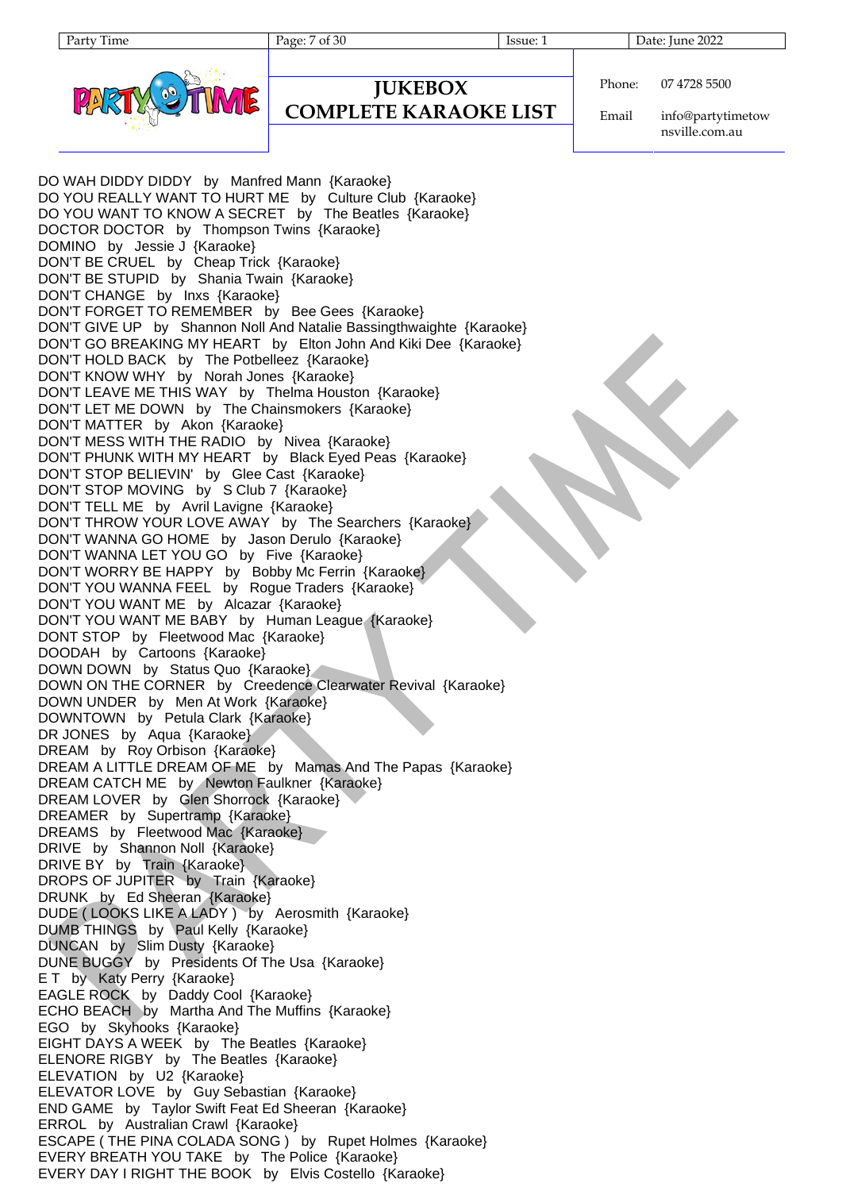Party Time Page: 7 of 30 Issue: 1 Date: June 2022

**JUKEBOX COMPLETE KARAOKE LIST**

Phone: 07 4728 5500

Email info@partytimetow nsville.com.au

DO WAH DIDDY DIDDY by Manfred Mann {Karaoke} DO YOU REALLY WANT TO HURT ME by Culture Club {Karaoke} DO YOU WANT TO KNOW A SECRET by The Beatles {Karaoke} DOCTOR DOCTOR by Thompson Twins {Karaoke} DOMINO by Jessie J {Karaoke} DON'T BE CRUEL by Cheap Trick {Karaoke} DON'T BE STUPID by Shania Twain {Karaoke} DON'T CHANGE by Inxs {Karaoke} DON'T FORGET TO REMEMBER by Bee Gees {Karaoke} DON'T GIVE UP by Shannon Noll And Natalie Bassingthwaighte {Karaoke} DON'T GO BREAKING MY HEART by Elton John And Kiki Dee {Karaoke} DON'T HOLD BACK by The Potbelleez {Karaoke} DON'T KNOW WHY by Norah Jones {Karaoke} DON'T LEAVE ME THIS WAY by Thelma Houston {Karaoke} DON'T LET ME DOWN by The Chainsmokers {Karaoke} DON'T MATTER by Akon {Karaoke} DON'T MESS WITH THE RADIO by Nivea {Karaoke} DON'T PHUNK WITH MY HEART by Black Eyed Peas {Karaoke} DON'T STOP BELIEVIN' by Glee Cast {Karaoke} DON'T STOP MOVING by S Club 7 {Karaoke} DON'T TELL ME by Avril Lavigne {Karaoke} DON'T THROW YOUR LOVE AWAY by The Searchers {Karaoke} DON'T WANNA GO HOME by Jason Derulo {Karaoke} DON'T WANNA LET YOU GO by Five {Karaoke} DON'T WORRY BE HAPPY by Bobby Mc Ferrin {Karaoke} DON'T YOU WANNA FEEL by Rogue Traders {Karaoke} DON'T YOU WANT ME by Alcazar {Karaoke} DON'T YOU WANT ME BABY by Human League {Karaoke} DONT STOP by Fleetwood Mac {Karaoke} DOODAH by Cartoons {Karaoke} DOWN DOWN by Status Quo {Karaoke} DOWN ON THE CORNER by Creedence Clearwater Revival {Karaoke} DOWN UNDER by Men At Work {Karaoke} DOWNTOWN by Petula Clark {Karaoke} DR JONES by Aqua {Karaoke} DREAM by Roy Orbison {Karaoke} DREAM A LITTLE DREAM OF ME by Mamas And The Papas {Karaoke} DREAM CATCH ME by Newton Faulkner {Karaoke} DREAM LOVER by Glen Shorrock {Karaoke} DREAMER by Supertramp {Karaoke} DREAMS by Fleetwood Mac {Karaoke} DRIVE by Shannon Noll {Karaoke} DRIVE BY by Train {Karaoke} DROPS OF JUPITER by Train {Karaoke} DRUNK by Ed Sheeran {Karaoke} DUDE ( LOOKS LIKE A LADY ) by Aerosmith {Karaoke} DUMB THINGS by Paul Kelly {Karaoke} DUNCAN by Slim Dusty {Karaoke} DUNE BUGGY by Presidents Of The Usa {Karaoke} E T by Katy Perry {Karaoke} EAGLE ROCK by Daddy Cool {Karaoke} ECHO BEACH by Martha And The Muffins {Karaoke} EGO by Skyhooks {Karaoke} EIGHT DAYS A WEEK by The Beatles {Karaoke} ELENORE RIGBY by The Beatles {Karaoke} ELEVATION by U2 {Karaoke} ELEVATOR LOVE by Guy Sebastian {Karaoke} END GAME by Taylor Swift Feat Ed Sheeran {Karaoke} ERROL by Australian Crawl {Karaoke} ESCAPE ( THE PINA COLADA SONG ) by Rupet Holmes {Karaoke} EVERY BREATH YOU TAKE by The Police {Karaoke} EVERY DAY I RIGHT THE BOOK by Elvis Costello {Karaoke}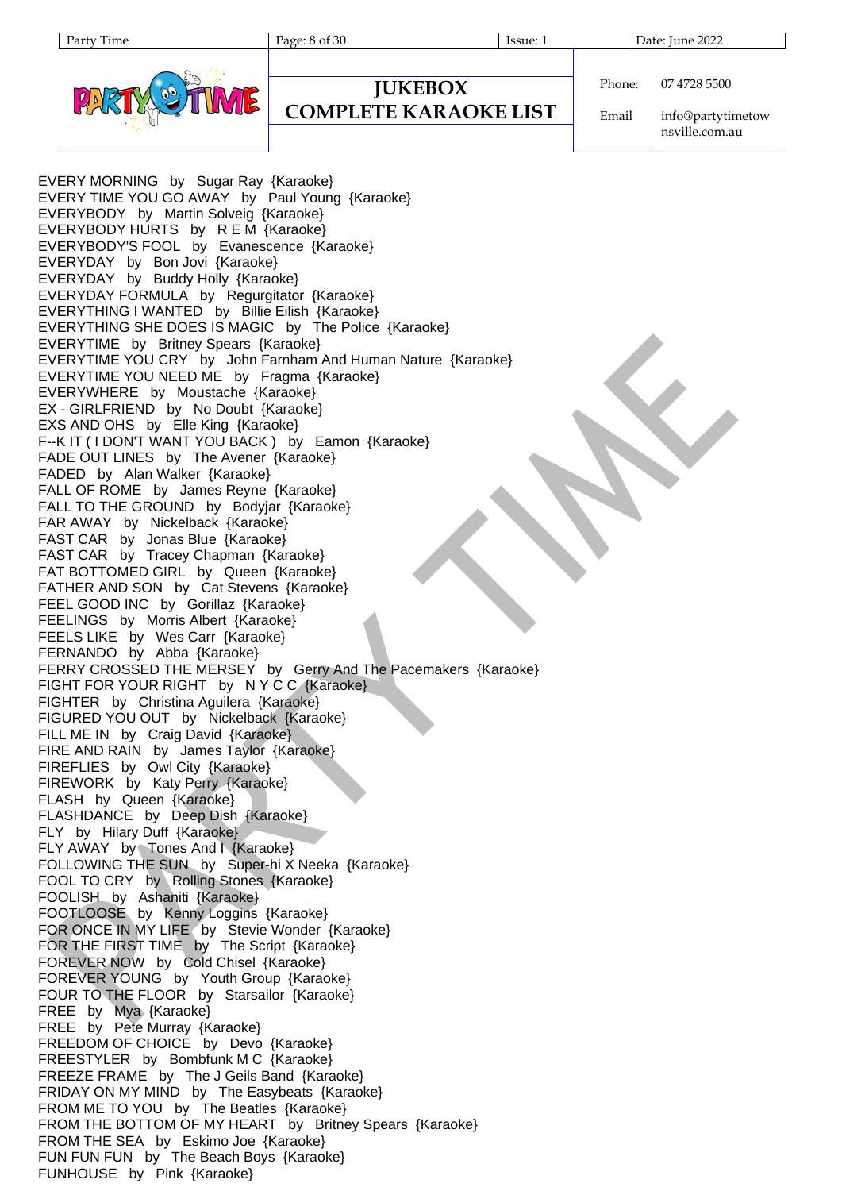Party Time Page: 8 of 30 Issue: 1 Date: June 2022



```
JUKEBOX
COMPLETE KARAOKE LIST
```
Phone: 07 4728 5500

Email info@partytimetow nsville.com.au

EVERY MORNING by Sugar Ray {Karaoke} EVERY TIME YOU GO AWAY by Paul Young {Karaoke} EVERYBODY by Martin Solveig {Karaoke} EVERYBODY HURTS by R E M {Karaoke} EVERYBODY'S FOOL by Evanescence {Karaoke} EVERYDAY by Bon Jovi {Karaoke} EVERYDAY by Buddy Holly {Karaoke} EVERYDAY FORMULA by Regurgitator {Karaoke} EVERYTHING I WANTED by Billie Eilish {Karaoke} EVERYTHING SHE DOES IS MAGIC by The Police {Karaoke} EVERYTIME by Britney Spears {Karaoke} EVERYTIME YOU CRY by John Farnham And Human Nature {Karaoke} EVERYTIME YOU NEED ME by Fragma {Karaoke} EVERYWHERE by Moustache {Karaoke} EX - GIRLFRIEND by No Doubt {Karaoke} EXS AND OHS by Elle King {Karaoke} F--K IT ( I DON'T WANT YOU BACK ) by Eamon {Karaoke} FADE OUT LINES by The Avener {Karaoke} FADED by Alan Walker {Karaoke} FALL OF ROME by James Reyne {Karaoke} FALL TO THE GROUND by Bodyjar {Karaoke} FAR AWAY by Nickelback {Karaoke} FAST CAR by Jonas Blue {Karaoke} FAST CAR by Tracey Chapman {Karaoke} FAT BOTTOMED GIRL by Queen {Karaoke} FATHER AND SON by Cat Stevens {Karaoke} FEEL GOOD INC by Gorillaz {Karaoke} FEELINGS by Morris Albert {Karaoke} FEELS LIKE by Wes Carr {Karaoke} FERNANDO by Abba {Karaoke} FERRY CROSSED THE MERSEY by Gerry And The Pacemakers {Karaoke} FIGHT FOR YOUR RIGHT by NYCC {Karaoke} FIGHTER by Christina Aguilera {Karaoke} FIGURED YOU OUT by Nickelback {Karaoke} FILL ME IN by Craig David {Karaoke} FIRE AND RAIN by James Taylor {Karaoke} FIREFLIES by Owl City {Karaoke} FIREWORK by Katy Perry {Karaoke} FLASH by Queen {Karaoke} FLASHDANCE by Deep Dish {Karaoke} FLY by Hilary Duff {Karaoke} FLY AWAY by Tones And I {Karaoke} FOLLOWING THE SUN by Super-hi X Neeka {Karaoke} FOOL TO CRY by Rolling Stones {Karaoke} FOOLISH by Ashaniti {Karaoke} FOOTLOOSE by Kenny Loggins {Karaoke} FOR ONCE IN MY LIFE by Stevie Wonder {Karaoke} FOR THE FIRST TIME by The Script {Karaoke} FOREVER NOW by Cold Chisel {Karaoke} FOREVER YOUNG by Youth Group {Karaoke} FOUR TO THE FLOOR by Starsailor {Karaoke} FREE by Mya {Karaoke} FREE by Pete Murray {Karaoke} FREEDOM OF CHOICE by Devo {Karaoke} FREESTYLER by Bombfunk M C {Karaoke} FREEZE FRAME by The J Geils Band {Karaoke} FRIDAY ON MY MIND by The Easybeats {Karaoke} FROM ME TO YOU by The Beatles {Karaoke} FROM THE BOTTOM OF MY HEART by Britney Spears {Karaoke} FROM THE SEA by Eskimo Joe {Karaoke} FUN FUN FUN by The Beach Boys {Karaoke} FUNHOUSE by Pink {Karaoke}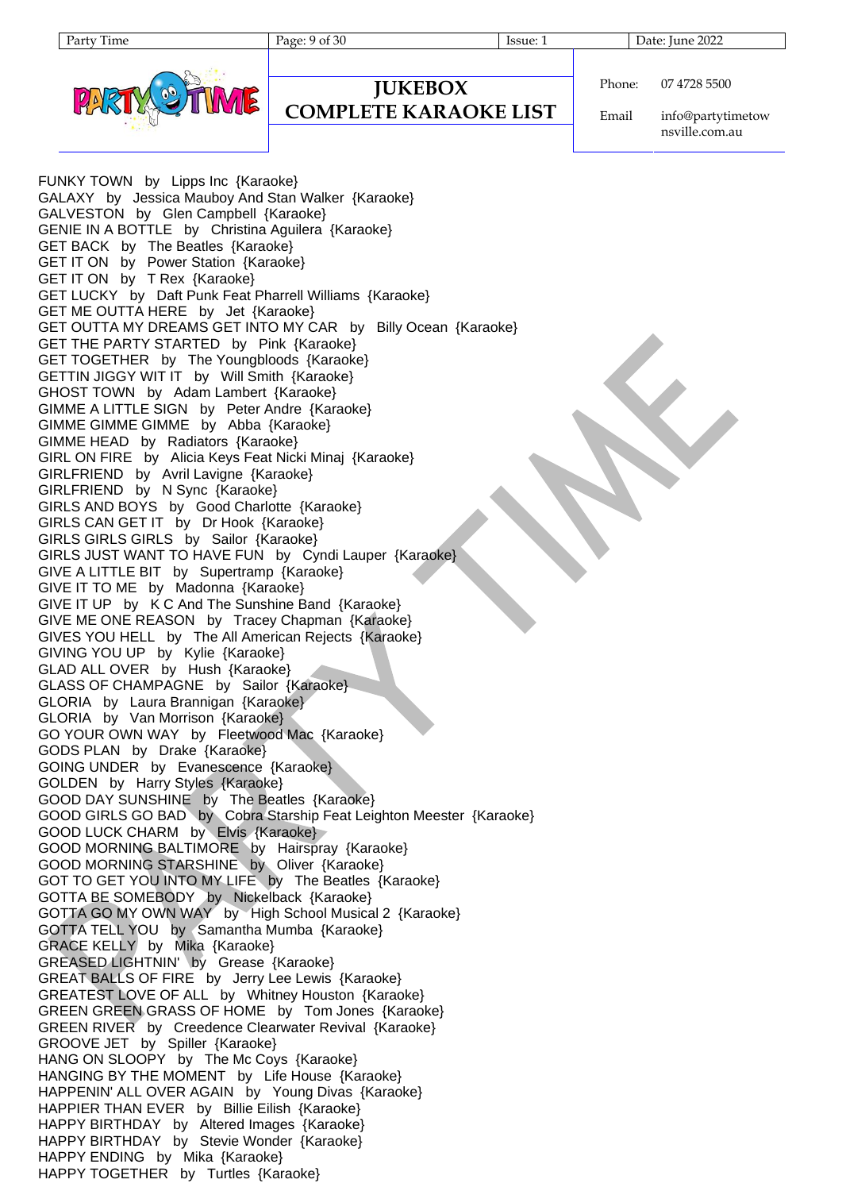Party Time Page: 9 of 30 Issue: 1 Date: June 2022



```
JUKEBOX
                        Phone:
```
#### **COMPLETE KARAOKE LIST**

Email 07 4728 5500

info@partytimetow nsville.com.au

FUNKY TOWN by Lipps Inc {Karaoke} GALAXY by Jessica Mauboy And Stan Walker {Karaoke} GALVESTON by Glen Campbell {Karaoke} GENIE IN A BOTTLE by Christina Aguilera {Karaoke} GET BACK by The Beatles {Karaoke} GET IT ON by Power Station {Karaoke} GET IT ON by T Rex {Karaoke} GET LUCKY by Daft Punk Feat Pharrell Williams {Karaoke} GET ME OUTTA HERE by Jet {Karaoke} GET OUTTA MY DREAMS GET INTO MY CAR by Billy Ocean {Karaoke} GET THE PARTY STARTED by Pink {Karaoke} GET TOGETHER by The Youngbloods {Karaoke} GETTIN JIGGY WIT IT by Will Smith {Karaoke} GHOST TOWN by Adam Lambert {Karaoke} GIMME A LITTLE SIGN by Peter Andre {Karaoke} GIMME GIMME GIMME by Abba {Karaoke} GIMME HEAD by Radiators {Karaoke} GIRL ON FIRE by Alicia Keys Feat Nicki Minaj {Karaoke} GIRLFRIEND by Avril Lavigne {Karaoke} GIRLFRIEND by N Sync {Karaoke} GIRLS AND BOYS by Good Charlotte {Karaoke} GIRLS CAN GET IT by Dr Hook {Karaoke} GIRLS GIRLS GIRLS by Sailor {Karaoke} GIRLS JUST WANT TO HAVE FUN by Cyndi Lauper {Karaoke} GIVE A LITTLE BIT by Supertramp {Karaoke} GIVE IT TO ME by Madonna {Karaoke} GIVE IT UP by K C And The Sunshine Band {Karaoke} GIVE ME ONE REASON by Tracey Chapman {Karaoke} GIVES YOU HELL by The All American Rejects {Karaoke} GIVING YOU UP by Kylie {Karaoke} GLAD ALL OVER by Hush {Karaoke} GLASS OF CHAMPAGNE by Sailor {Karaoke} GLORIA by Laura Brannigan {Karaoke} GLORIA by Van Morrison {Karaoke} GO YOUR OWN WAY by Fleetwood Mac {Karaoke} GODS PLAN by Drake {Karaoke} GOING UNDER by Evanescence {Karaoke} GOLDEN by Harry Styles {Karaoke} GOOD DAY SUNSHINE by The Beatles {Karaoke} GOOD GIRLS GO BAD by Cobra Starship Feat Leighton Meester {Karaoke} GOOD LUCK CHARM by Elvis {Karaoke} GOOD MORNING BALTIMORE by Hairspray {Karaoke} GOOD MORNING STARSHINE by Oliver {Karaoke} GOT TO GET YOU INTO MY LIFE by The Beatles {Karaoke} GOTTA BE SOMEBODY by Nickelback {Karaoke} GOTTA GO MY OWN WAY by High School Musical 2 {Karaoke} GOTTA TELL YOU by Samantha Mumba {Karaoke} GRACE KELLY by Mika {Karaoke} GREASED LIGHTNIN' by Grease {Karaoke} GREAT BALLS OF FIRE by Jerry Lee Lewis {Karaoke} GREATEST LOVE OF ALL by Whitney Houston {Karaoke} GREEN GREEN GRASS OF HOME by Tom Jones {Karaoke} GREEN RIVER by Creedence Clearwater Revival {Karaoke} GROOVE JET by Spiller {Karaoke} HANG ON SLOOPY by The Mc Coys {Karaoke} HANGING BY THE MOMENT by Life House {Karaoke} HAPPENIN' ALL OVER AGAIN by Young Divas {Karaoke} HAPPIER THAN EVER by Billie Eilish {Karaoke} HAPPY BIRTHDAY by Altered Images {Karaoke} HAPPY BIRTHDAY by Stevie Wonder {Karaoke} HAPPY ENDING by Mika {Karaoke} HAPPY TOGETHER by Turtles {Karaoke}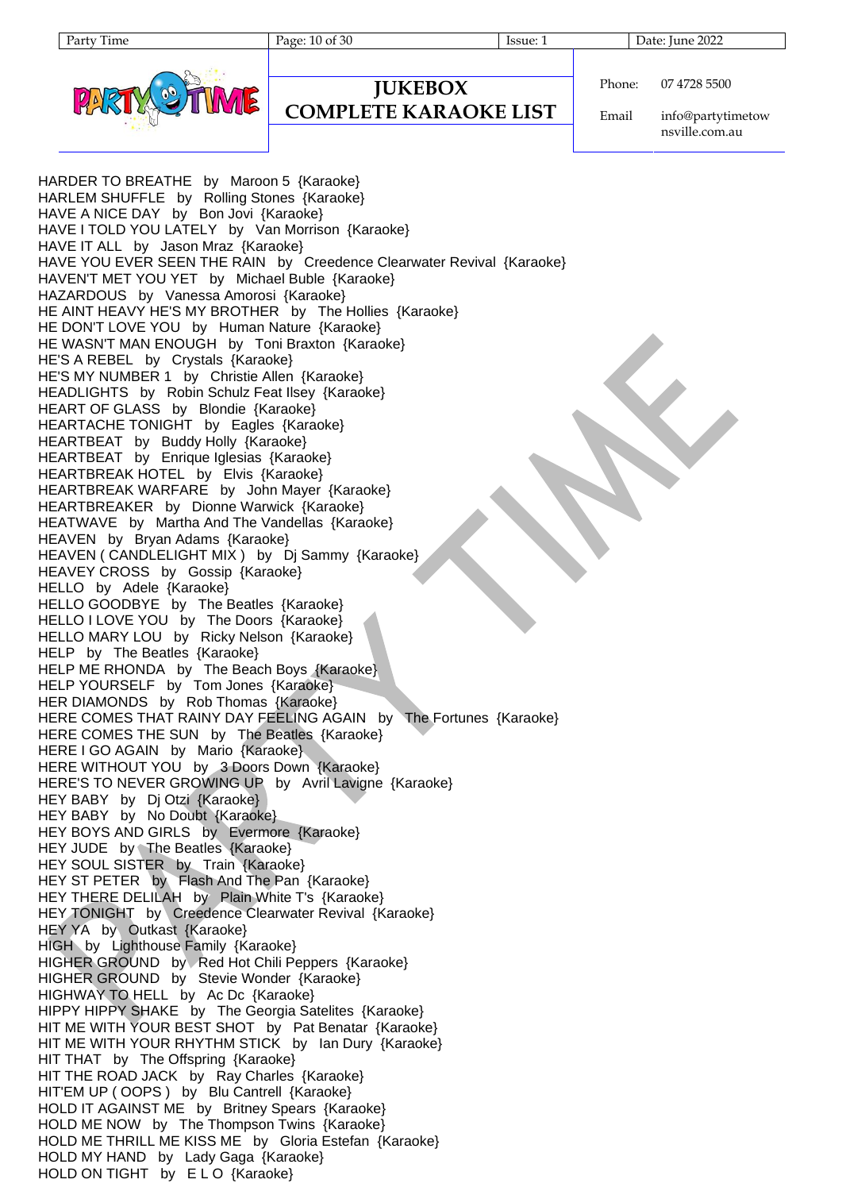Party Time Page: 10 of 30 Issue: 1 Date: June 2022



```
JUKEBOX
```
#### **COMPLETE KARAOKE LIST**

Phone: 07 4728 5500

Email info@partytimetow nsville.com.au

HARDER TO BREATHE by Maroon 5 {Karaoke} HARLEM SHUFFLE by Rolling Stones {Karaoke} HAVE A NICE DAY by Bon Jovi {Karaoke} HAVE I TOLD YOU LATELY by Van Morrison {Karaoke} HAVE IT ALL by Jason Mraz {Karaoke} HAVE YOU EVER SEEN THE RAIN by Creedence Clearwater Revival {Karaoke} HAVEN'T MET YOU YET by Michael Buble {Karaoke} HAZARDOUS by Vanessa Amorosi {Karaoke} HE AINT HEAVY HE'S MY BROTHER by The Hollies {Karaoke} HE DON'T LOVE YOU by Human Nature {Karaoke} HE WASN'T MAN ENOUGH by Toni Braxton {Karaoke} HE'S A REBEL by Crystals {Karaoke} HE'S MY NUMBER 1 by Christie Allen {Karaoke} HEADLIGHTS by Robin Schulz Feat Ilsey {Karaoke} HEART OF GLASS by Blondie {Karaoke} HEARTACHE TONIGHT by Eagles {Karaoke} HEARTBEAT by Buddy Holly {Karaoke} HEARTBEAT by Enrique Iglesias {Karaoke} HEARTBREAK HOTEL by Elvis {Karaoke} HEARTBREAK WARFARE by John Mayer {Karaoke} HEARTBREAKER by Dionne Warwick {Karaoke} HEATWAVE by Martha And The Vandellas {Karaoke} HEAVEN by Bryan Adams {Karaoke} HEAVEN ( CANDLELIGHT MIX ) by Dj Sammy {Karaoke} HEAVEY CROSS by Gossip {Karaoke} HELLO by Adele {Karaoke} HELLO GOODBYE by The Beatles {Karaoke} HELLO I LOVE YOU by The Doors {Karaoke} HELLO MARY LOU by Ricky Nelson {Karaoke} HELP by The Beatles {Karaoke} HELP ME RHONDA by The Beach Boys {Karaoke} HELP YOURSELF by Tom Jones {Karaoke} HER DIAMONDS by Rob Thomas {Karaoke} HERE COMES THAT RAINY DAY FEELING AGAIN by The Fortunes {Karaoke} HERE COMES THE SUN by The Beatles {Karaoke} HERE I GO AGAIN by Mario {Karaoke} HERE WITHOUT YOU by 3 Doors Down {Karaoke} HERE'S TO NEVER GROWING UP by Avril Lavigne {Karaoke} HEY BABY by Dj Otzi {Karaoke} HEY BABY by No Doubt {Karaoke} HEY BOYS AND GIRLS by Evermore {Karaoke} HEY JUDE by The Beatles {Karaoke} HEY SOUL SISTER by Train {Karaoke} HEY ST PETER by Flash And The Pan {Karaoke} HEY THERE DELILAH by Plain White T's {Karaoke} HEY TONIGHT by Creedence Clearwater Revival {Karaoke} HEY YA by Outkast {Karaoke} HIGH by Lighthouse Family {Karaoke} HIGHER GROUND by Red Hot Chili Peppers {Karaoke} HIGHER GROUND by Stevie Wonder {Karaoke} HIGHWAY TO HELL by Ac Dc {Karaoke} HIPPY HIPPY SHAKE by The Georgia Satelites {Karaoke} HIT ME WITH YOUR BEST SHOT by Pat Benatar {Karaoke} HIT ME WITH YOUR RHYTHM STICK by Ian Dury {Karaoke} HIT THAT by The Offspring {Karaoke} HIT THE ROAD JACK by Ray Charles {Karaoke} HIT'EM UP ( OOPS ) by Blu Cantrell {Karaoke} HOLD IT AGAINST ME by Britney Spears {Karaoke} HOLD ME NOW by The Thompson Twins {Karaoke} HOLD ME THRILL ME KISS ME by Gloria Estefan {Karaoke} HOLD MY HAND by Lady Gaga {Karaoke} HOLD ON TIGHT by ELO {Karaoke}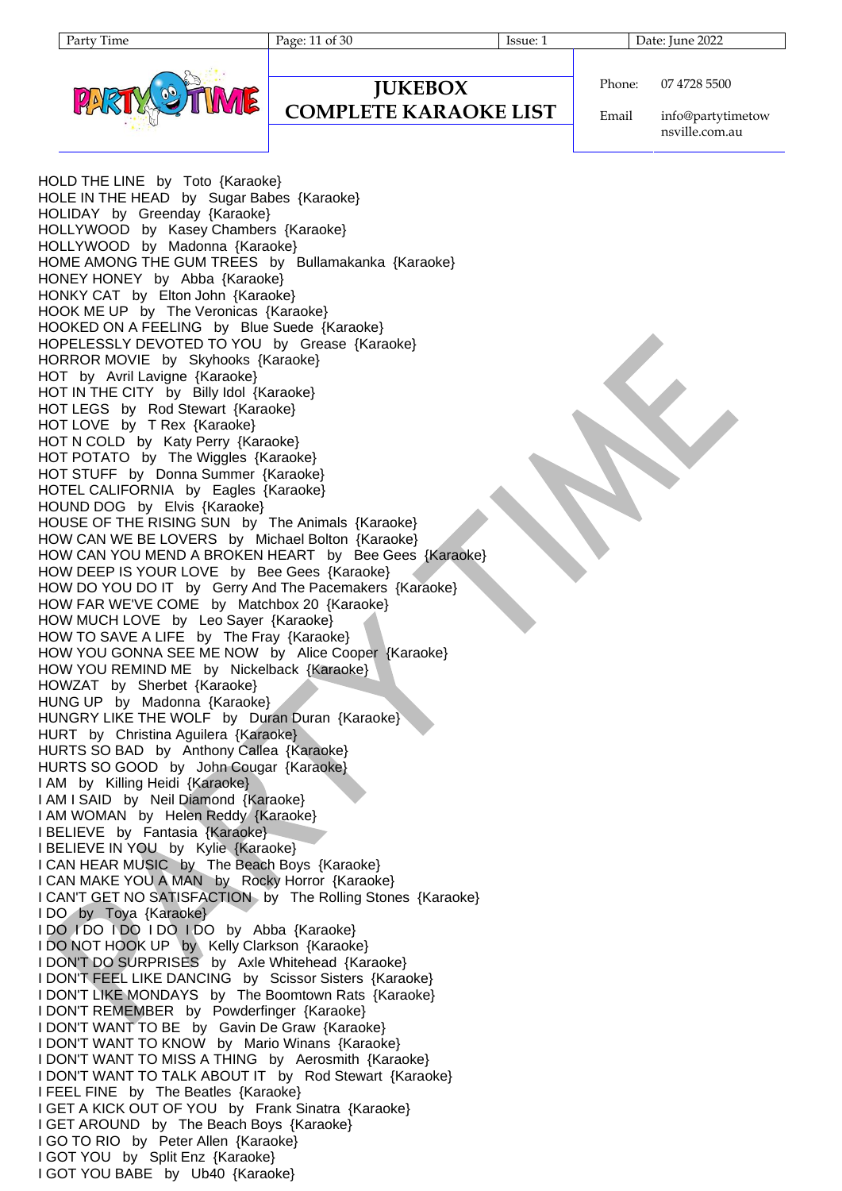Party Time Page: 11 of 30 Issue: 1 Date: June 2022



# **JUKEBOX**

#### **COMPLETE KARAOKE LIST**

Phone: 07 4728 5500

Email info@partytimetow nsville.com.au

HOLD THE LINE by Toto {Karaoke} HOLE IN THE HEAD by Sugar Babes {Karaoke} HOLIDAY by Greenday {Karaoke} HOLLYWOOD by Kasey Chambers {Karaoke} HOLLYWOOD by Madonna {Karaoke} HOME AMONG THE GUM TREES by Bullamakanka {Karaoke} HONEY HONEY by Abba {Karaoke} HONKY CAT by Elton John {Karaoke} HOOK ME UP by The Veronicas {Karaoke} HOOKED ON A FEELING by Blue Suede {Karaoke} HOPELESSLY DEVOTED TO YOU by Grease {Karaoke} HORROR MOVIE by Skyhooks {Karaoke} HOT by Avril Lavigne {Karaoke} HOT IN THE CITY by Billy Idol {Karaoke} HOT LEGS by Rod Stewart {Karaoke} HOT LOVE by T Rex {Karaoke} HOT N COLD by Katy Perry {Karaoke} HOT POTATO by The Wiggles {Karaoke} HOT STUFF by Donna Summer {Karaoke} HOTEL CALIFORNIA by Eagles {Karaoke} HOUND DOG by Elvis {Karaoke} HOUSE OF THE RISING SUN by The Animals {Karaoke} HOW CAN WE BE LOVERS by Michael Bolton {Karaoke} HOW CAN YOU MEND A BROKEN HEART by Bee Gees {Karaoke} HOW DEEP IS YOUR LOVE by Bee Gees {Karaoke} HOW DO YOU DO IT by Gerry And The Pacemakers {Karaoke} HOW FAR WE'VE COME by Matchbox 20 {Karaoke} HOW MUCH LOVE by Leo Sayer {Karaoke} HOW TO SAVE A LIFE by The Fray {Karaoke} HOW YOU GONNA SEE ME NOW by Alice Cooper {Karaoke} HOW YOU REMIND ME by Nickelback {Karaoke} HOWZAT by Sherbet {Karaoke} HUNG UP by Madonna {Karaoke} HUNGRY LIKE THE WOLF by Duran Duran {Karaoke} HURT by Christina Aguilera {Karaoke} HURTS SO BAD by Anthony Callea {Karaoke} HURTS SO GOOD by John Cougar {Karaoke} I AM by Killing Heidi {Karaoke} I AM I SAID by Neil Diamond {Karaoke} I AM WOMAN by Helen Reddy {Karaoke} I BELIEVE by Fantasia {Karaoke} I BELIEVE IN YOU by Kylie {Karaoke} I CAN HEAR MUSIC by The Beach Boys {Karaoke} I CAN MAKE YOU A MAN by Rocky Horror {Karaoke} I CAN'T GET NO SATISFACTION by The Rolling Stones {Karaoke} I DO by Toya {Karaoke} I DO I DO I DO I DO I DO by Abba {Karaoke} I DO NOT HOOK UP by Kelly Clarkson {Karaoke} I DON'T DO SURPRISES by Axle Whitehead {Karaoke} I DON'T FEEL LIKE DANCING by Scissor Sisters {Karaoke} I DON'T LIKE MONDAYS by The Boomtown Rats {Karaoke} I DON'T REMEMBER by Powderfinger {Karaoke} I DON'T WANT TO BE by Gavin De Graw {Karaoke} I DON'T WANT TO KNOW by Mario Winans {Karaoke} I DON'T WANT TO MISS A THING by Aerosmith {Karaoke} I DON'T WANT TO TALK ABOUT IT by Rod Stewart {Karaoke} I FEEL FINE by The Beatles {Karaoke} I GET A KICK OUT OF YOU by Frank Sinatra {Karaoke} I GET AROUND by The Beach Boys {Karaoke} I GO TO RIO by Peter Allen {Karaoke} I GOT YOU by Split Enz {Karaoke} I GOT YOU BABE by Ub40 {Karaoke}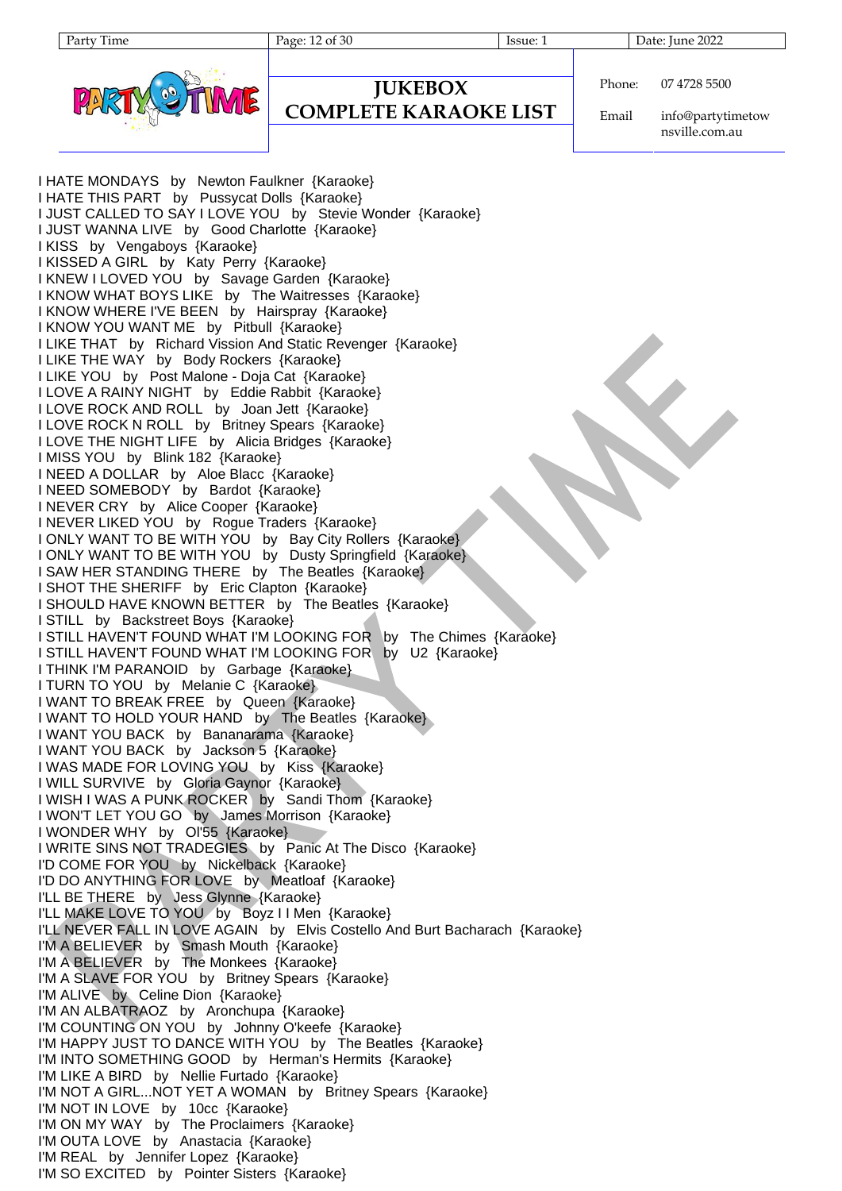Party Time Page: 12 of 30 Issue: 1 Date: June 2022



# **JUKEBOX**

## **COMPLETE KARAOKE LIST**

Phone: 07 4728 5500

Email info@partytimetow nsville.com.au

I HATE MONDAYS by Newton Faulkner {Karaoke} I HATE THIS PART by Pussycat Dolls {Karaoke} I JUST CALLED TO SAY I LOVE YOU by Stevie Wonder {Karaoke} I JUST WANNA LIVE by Good Charlotte {Karaoke} I KISS by Vengaboys {Karaoke} I KISSED A GIRL by Katy Perry {Karaoke} I KNEW I LOVED YOU by Savage Garden {Karaoke} I KNOW WHAT BOYS LIKE by The Waitresses {Karaoke} I KNOW WHERE I'VE BEEN by Hairspray {Karaoke} I KNOW YOU WANT ME by Pitbull {Karaoke} I LIKE THAT by Richard Vission And Static Revenger {Karaoke} I LIKE THE WAY by Body Rockers {Karaoke} I LIKE YOU by Post Malone - Doja Cat {Karaoke} I LOVE A RAINY NIGHT by Eddie Rabbit {Karaoke} I LOVE ROCK AND ROLL by Joan Jett {Karaoke} I LOVE ROCK N ROLL by Britney Spears {Karaoke} I LOVE THE NIGHT LIFE by Alicia Bridges {Karaoke} I MISS YOU by Blink 182 {Karaoke} I NEED A DOLLAR by Aloe Blacc {Karaoke} I NEED SOMEBODY by Bardot {Karaoke} I NEVER CRY by Alice Cooper {Karaoke} I NEVER LIKED YOU by Rogue Traders {Karaoke} I ONLY WANT TO BE WITH YOU by Bay City Rollers {Karaoke} I ONLY WANT TO BE WITH YOU by Dusty Springfield {Karaoke} I SAW HER STANDING THERE by The Beatles {Karaoke} I SHOT THE SHERIFF by Eric Clapton {Karaoke} I SHOULD HAVE KNOWN BETTER by The Beatles {Karaoke} I STILL by Backstreet Boys {Karaoke} I STILL HAVEN'T FOUND WHAT I'M LOOKING FOR by The Chimes {Karaoke} I STILL HAVEN'T FOUND WHAT I'M LOOKING FOR by U2 {Karaoke} I THINK I'M PARANOID by Garbage {Karaoke} I TURN TO YOU by Melanie C {Karaoke} I WANT TO BREAK FREE by Queen {Karaoke} I WANT TO HOLD YOUR HAND by The Beatles {Karaoke} I WANT YOU BACK by Bananarama {Karaoke} I WANT YOU BACK by Jackson 5 {Karaoke} I WAS MADE FOR LOVING YOU by Kiss {Karaoke} I WILL SURVIVE by Gloria Gaynor {Karaoke} I WISH I WAS A PUNK ROCKER by Sandi Thom {Karaoke} I WON'T LET YOU GO by James Morrison {Karaoke} I WONDER WHY by Ol'55 {Karaoke} I WRITE SINS NOT TRADEGIES by Panic At The Disco {Karaoke} I'D COME FOR YOU by Nickelback {Karaoke} I'D DO ANYTHING FOR LOVE by Meatloaf {Karaoke} I'LL BE THERE by Jess Glynne {Karaoke} I'LL MAKE LOVE TO YOU by Boyz I I Men {Karaoke} I'LL NEVER FALL IN LOVE AGAIN by Elvis Costello And Burt Bacharach {Karaoke} I'M A BELIEVER by Smash Mouth {Karaoke} I'M A BELIEVER by The Monkees {Karaoke} I'M A SLAVE FOR YOU by Britney Spears {Karaoke} I'M ALIVE by Celine Dion {Karaoke} I'M AN ALBATRAOZ by Aronchupa {Karaoke} I'M COUNTING ON YOU by Johnny O'keefe {Karaoke} I'M HAPPY JUST TO DANCE WITH YOU by The Beatles {Karaoke} I'M INTO SOMETHING GOOD by Herman's Hermits {Karaoke} I'M LIKE A BIRD by Nellie Furtado {Karaoke} I'M NOT A GIRL...NOT YET A WOMAN by Britney Spears {Karaoke} I'M NOT IN LOVE by 10cc {Karaoke} I'M ON MY WAY by The Proclaimers {Karaoke} I'M OUTA LOVE by Anastacia {Karaoke} I'M REAL by Jennifer Lopez {Karaoke} I'M SO EXCITED by Pointer Sisters {Karaoke}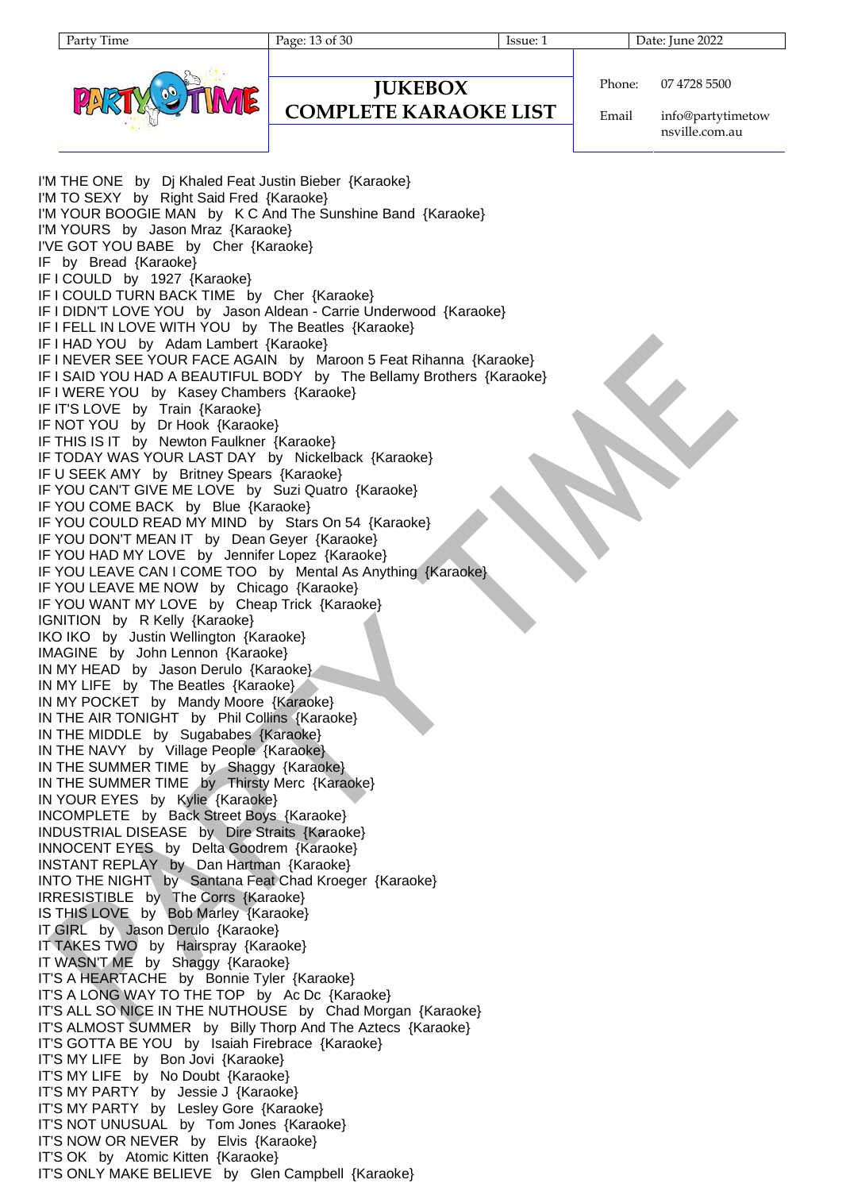```
Phone:
          07 4728 5500
```
**COMPLETE KARAOKE LIST**

**JUKEBOX**

Email info@partytimetow nsville.com.au

I'M THE ONE by Dj Khaled Feat Justin Bieber {Karaoke} I'M TO SEXY by Right Said Fred {Karaoke} I'M YOUR BOOGIE MAN by K C And The Sunshine Band {Karaoke} I'M YOURS by Jason Mraz {Karaoke} I'VE GOT YOU BABE by Cher {Karaoke} IF by Bread {Karaoke} IF I COULD by 1927 {Karaoke} IF I COULD TURN BACK TIME by Cher {Karaoke} IF I DIDN'T LOVE YOU by Jason Aldean - Carrie Underwood {Karaoke} IF I FELL IN LOVE WITH YOU by The Beatles {Karaoke} IF I HAD YOU by Adam Lambert {Karaoke} IF I NEVER SEE YOUR FACE AGAIN by Maroon 5 Feat Rihanna {Karaoke} IF I SAID YOU HAD A BEAUTIFUL BODY by The Bellamy Brothers {Karaoke} IF I WERE YOU by Kasey Chambers {Karaoke} IF IT'S LOVE by Train {Karaoke} IF NOT YOU by Dr Hook {Karaoke} IF THIS IS IT by Newton Faulkner {Karaoke} IF TODAY WAS YOUR LAST DAY by Nickelback {Karaoke} IF U SEEK AMY by Britney Spears {Karaoke} IF YOU CAN'T GIVE ME LOVE by Suzi Quatro {Karaoke} IF YOU COME BACK by Blue {Karaoke} IF YOU COULD READ MY MIND by Stars On 54 {Karaoke} IF YOU DON'T MEAN IT by Dean Geyer {Karaoke} IF YOU HAD MY LOVE by Jennifer Lopez {Karaoke} IF YOU LEAVE CAN I COME TOO by Mental As Anything {Karaoke} IF YOU LEAVE ME NOW by Chicago {Karaoke} IF YOU WANT MY LOVE by Cheap Trick {Karaoke} IGNITION by R Kelly {Karaoke} IKO IKO by Justin Wellington {Karaoke} IMAGINE by John Lennon {Karaoke} IN MY HEAD by Jason Derulo {Karaoke} IN MY LIFE by The Beatles {Karaoke} IN MY POCKET by Mandy Moore {Karaoke} IN THE AIR TONIGHT by Phil Collins {Karaoke} IN THE MIDDLE by Sugababes {Karaoke} IN THE NAVY by Village People {Karaoke} IN THE SUMMER TIME by Shaggy {Karaoke} IN THE SUMMER TIME by Thirsty Merc {Karaoke} IN YOUR EYES by Kylie {Karaoke} INCOMPLETE by Back Street Boys {Karaoke} INDUSTRIAL DISEASE by Dire Straits {Karaoke} INNOCENT EYES by Delta Goodrem {Karaoke} INSTANT REPLAY by Dan Hartman {Karaoke} INTO THE NIGHT by Santana Feat Chad Kroeger {Karaoke} IRRESISTIBLE by The Corrs {Karaoke} IS THIS LOVE by Bob Marley {Karaoke} IT GIRL by Jason Derulo {Karaoke} IT TAKES TWO by Hairspray {Karaoke} IT WASN'T ME by Shaggy {Karaoke} IT'S A HEARTACHE by Bonnie Tyler {Karaoke} IT'S A LONG WAY TO THE TOP by Ac Dc {Karaoke} IT'S ALL SO NICE IN THE NUTHOUSE by Chad Morgan {Karaoke} IT'S ALMOST SUMMER by Billy Thorp And The Aztecs {Karaoke} IT'S GOTTA BE YOU by Isaiah Firebrace {Karaoke} IT'S MY LIFE by Bon Jovi {Karaoke} IT'S MY LIFE by No Doubt {Karaoke} IT'S MY PARTY by Jessie J {Karaoke} IT'S MY PARTY by Lesley Gore {Karaoke} IT'S NOT UNUSUAL by Tom Jones {Karaoke} IT'S NOW OR NEVER by Elvis {Karaoke} IT'S OK by Atomic Kitten {Karaoke} IT'S ONLY MAKE BELIEVE by Glen Campbell {Karaoke}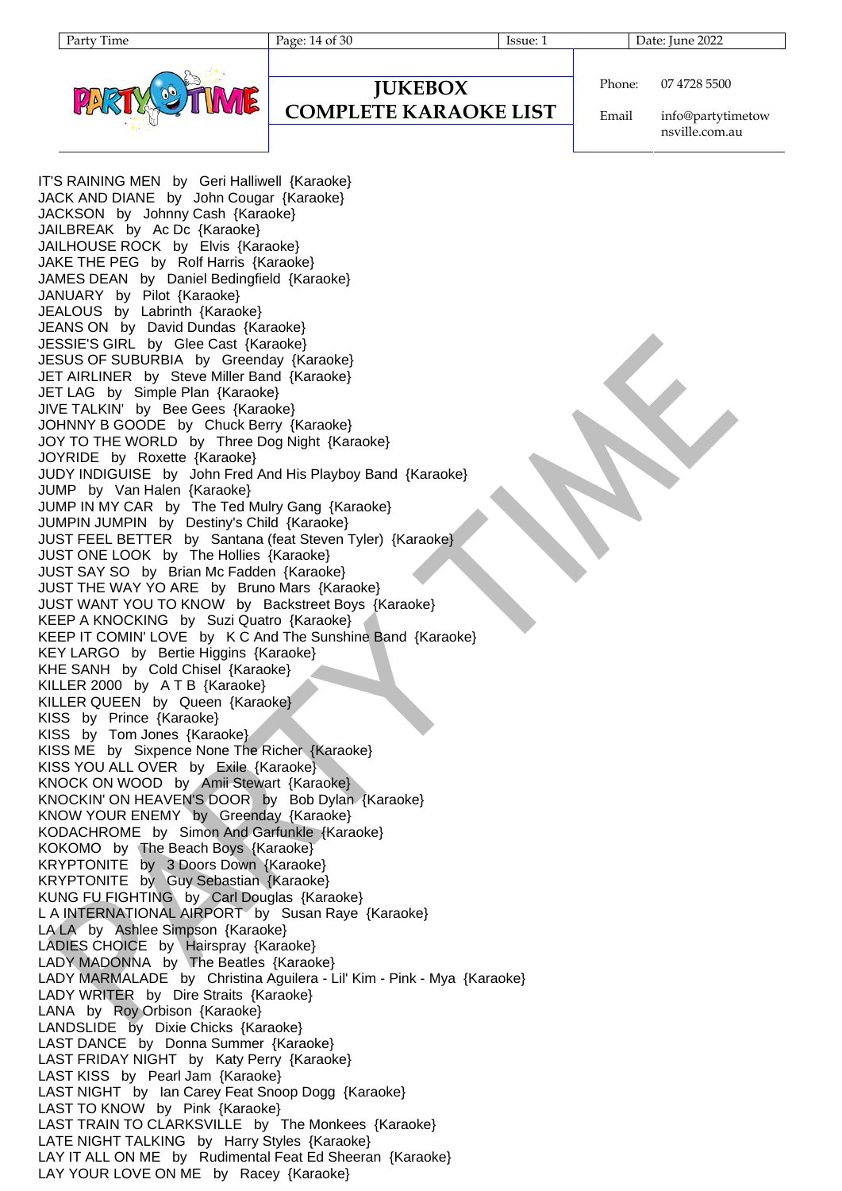

# **JUKEBOX**

## **COMPLETE KARAOKE LIST**

Phone: 07 4728 5500

Email info@partytimetow nsville.com.au

IT'S RAINING MEN by Geri Halliwell {Karaoke} JACK AND DIANE by John Cougar {Karaoke} JACKSON by Johnny Cash {Karaoke} JAILBREAK by Ac Dc {Karaoke} JAILHOUSE ROCK by Elvis {Karaoke} JAKE THE PEG by Rolf Harris {Karaoke} JAMES DEAN by Daniel Bedingfield {Karaoke} JANUARY by Pilot {Karaoke} JEALOUS by Labrinth {Karaoke} JEANS ON by David Dundas {Karaoke} JESSIE'S GIRL by Glee Cast {Karaoke} JESUS OF SUBURBIA by Greenday {Karaoke} JET AIRLINER by Steve Miller Band {Karaoke} JET LAG by Simple Plan {Karaoke} JIVE TALKIN' by Bee Gees {Karaoke} JOHNNY B GOODE by Chuck Berry {Karaoke} JOY TO THE WORLD by Three Dog Night {Karaoke} JOYRIDE by Roxette {Karaoke} JUDY INDIGUISE by John Fred And His Playboy Band {Karaoke} JUMP by Van Halen {Karaoke} JUMP IN MY CAR by The Ted Mulry Gang {Karaoke} JUMPIN JUMPIN by Destiny's Child {Karaoke} JUST FEEL BETTER by Santana (feat Steven Tyler) {Karaoke} JUST ONE LOOK by The Hollies {Karaoke} JUST SAY SO by Brian Mc Fadden {Karaoke} JUST THE WAY YO ARE by Bruno Mars {Karaoke} JUST WANT YOU TO KNOW by Backstreet Boys {Karaoke} KEEP A KNOCKING by Suzi Quatro {Karaoke} KEEP IT COMIN' LOVE by K C And The Sunshine Band {Karaoke} KEY LARGO by Bertie Higgins {Karaoke} KHE SANH by Cold Chisel {Karaoke} KILLER 2000 by A T B {Karaoke} KILLER QUEEN by Queen {Karaoke} KISS by Prince {Karaoke} KISS by Tom Jones {Karaoke} KISS ME by Sixpence None The Richer {Karaoke} KISS YOU ALL OVER by Exile {Karaoke} KNOCK ON WOOD by Amii Stewart {Karaoke} KNOCKIN' ON HEAVEN'S DOOR by Bob Dylan {Karaoke} KNOW YOUR ENEMY by Greenday {Karaoke} KODACHROME by Simon And Garfunkle {Karaoke} KOKOMO by The Beach Boys {Karaoke} KRYPTONITE by 3 Doors Down {Karaoke} KRYPTONITE by Guy Sebastian {Karaoke} KUNG FU FIGHTING by Carl Douglas {Karaoke} L A INTERNATIONAL AIRPORT by Susan Raye {Karaoke} LA LA by Ashlee Simpson {Karaoke} LADIES CHOICE by Hairspray {Karaoke} LADY MADONNA by The Beatles {Karaoke} LADY MARMALADE by Christina Aguilera - Lil' Kim - Pink - Mya {Karaoke} LADY WRITER by Dire Straits {Karaoke} LANA by Roy Orbison {Karaoke} LANDSLIDE by Dixie Chicks {Karaoke} LAST DANCE by Donna Summer {Karaoke} LAST FRIDAY NIGHT by Katy Perry {Karaoke} LAST KISS by Pearl Jam {Karaoke} LAST NIGHT by Ian Carey Feat Snoop Dogg {Karaoke} LAST TO KNOW by Pink {Karaoke} LAST TRAIN TO CLARKSVILLE by The Monkees {Karaoke} LATE NIGHT TALKING by Harry Styles {Karaoke} LAY IT ALL ON ME by Rudimental Feat Ed Sheeran {Karaoke} LAY YOUR LOVE ON ME by Racey {Karaoke}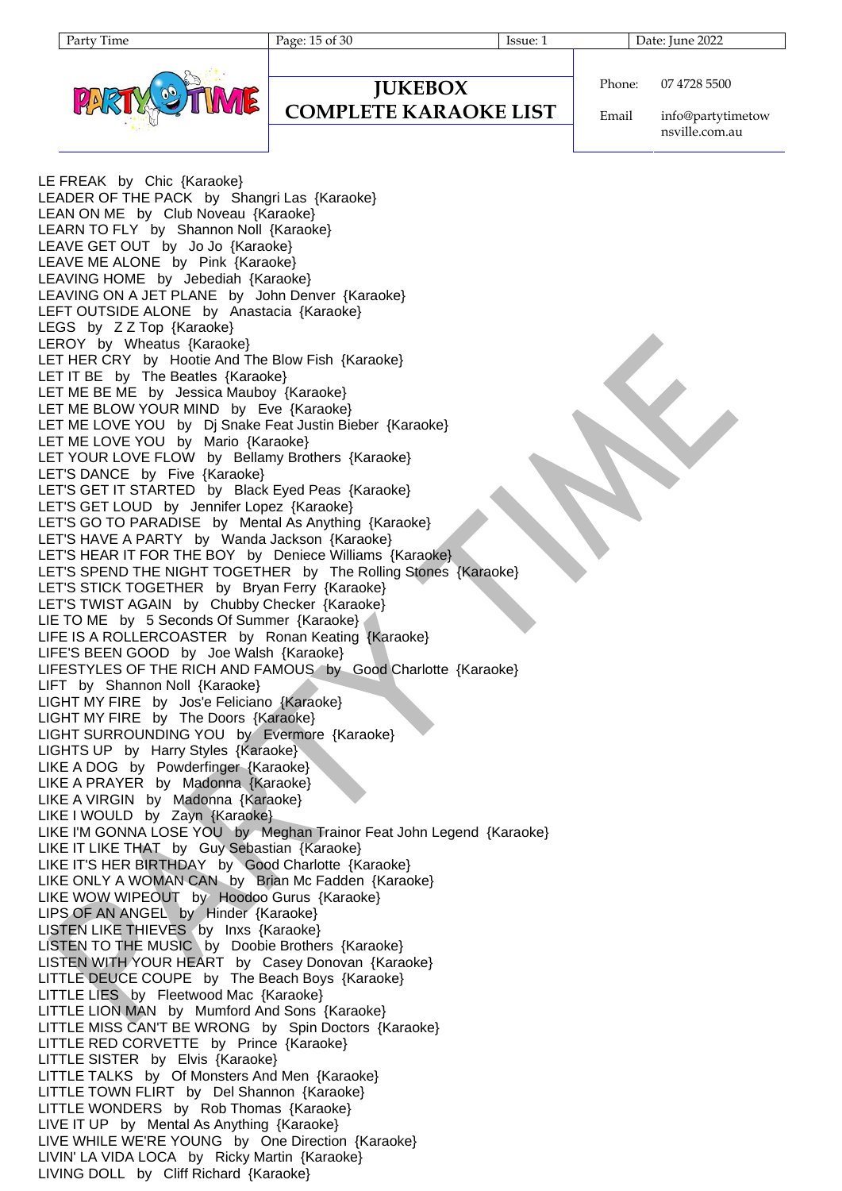Party Time Page: 15 of 30 Issue: 1 Date: June 2022



#### **COMPLETE KARAOKE LIST**

Phone: 07 4728 5500

Email info@partytimetow nsville.com.au

LE FREAK by Chic {Karaoke} LEADER OF THE PACK by Shangri Las {Karaoke} LEAN ON ME by Club Noveau {Karaoke} LEARN TO FLY by Shannon Noll {Karaoke} LEAVE GET OUT by Jo Jo {Karaoke} LEAVE ME ALONE by Pink {Karaoke} LEAVING HOME by Jebediah {Karaoke} LEAVING ON A JET PLANE by John Denver {Karaoke} LEFT OUTSIDE ALONE by Anastacia {Karaoke} LEGS by Z Z Top {Karaoke} LEROY by Wheatus {Karaoke} LET HER CRY by Hootie And The Blow Fish {Karaoke} LET IT BE by The Beatles {Karaoke} LET ME BE ME by Jessica Mauboy {Karaoke} LET ME BLOW YOUR MIND by Eve {Karaoke} LET ME LOVE YOU by Dj Snake Feat Justin Bieber {Karaoke} LET ME LOVE YOU by Mario {Karaoke} LET YOUR LOVE FLOW by Bellamy Brothers {Karaoke} LET'S DANCE by Five {Karaoke} LET'S GET IT STARTED by Black Eyed Peas {Karaoke} LET'S GET LOUD by Jennifer Lopez {Karaoke} LET'S GO TO PARADISE by Mental As Anything {Karaoke} LET'S HAVE A PARTY by Wanda Jackson {Karaoke} LET'S HEAR IT FOR THE BOY by Deniece Williams {Karaoke} LET'S SPEND THE NIGHT TOGETHER by The Rolling Stones {Karaoke} LET'S STICK TOGETHER by Bryan Ferry {Karaoke} LET'S TWIST AGAIN by Chubby Checker {Karaoke} LIE TO ME by 5 Seconds Of Summer {Karaoke} LIFE IS A ROLLERCOASTER by Ronan Keating {Karaoke} LIFE'S BEEN GOOD by Joe Walsh {Karaoke} LIFESTYLES OF THE RICH AND FAMOUS by Good Charlotte {Karaoke} LIFT by Shannon Noll {Karaoke} LIGHT MY FIRE by Jos'e Feliciano {Karaoke} LIGHT MY FIRE by The Doors {Karaoke} LIGHT SURROUNDING YOU by Evermore {Karaoke} LIGHTS UP by Harry Styles {Karaoke} LIKE A DOG by Powderfinger {Karaoke} LIKE A PRAYER by Madonna {Karaoke} LIKE A VIRGIN by Madonna {Karaoke} LIKE I WOULD by Zayn {Karaoke} LIKE I'M GONNA LOSE YOU by Meghan Trainor Feat John Legend {Karaoke} LIKE IT LIKE THAT by Guy Sebastian {Karaoke} LIKE IT'S HER BIRTHDAY by Good Charlotte {Karaoke} LIKE ONLY A WOMAN CAN by Brian Mc Fadden {Karaoke} LIKE WOW WIPEOUT by Hoodoo Gurus {Karaoke} LIPS OF AN ANGEL by Hinder {Karaoke} LISTEN LIKE THIEVES (by Inxs {Karaoke} LISTEN TO THE MUSIC by Doobie Brothers {Karaoke} LISTEN WITH YOUR HEART by Casey Donovan {Karaoke} LITTLE DEUCE COUPE by The Beach Boys {Karaoke} LITTLE LIES by Fleetwood Mac {Karaoke} LITTLE LION MAN by Mumford And Sons {Karaoke} LITTLE MISS CAN'T BE WRONG by Spin Doctors {Karaoke} LITTLE RED CORVETTE by Prince {Karaoke} LITTLE SISTER by Elvis {Karaoke} LITTLE TALKS by Of Monsters And Men {Karaoke} LITTLE TOWN FLIRT by Del Shannon {Karaoke} LITTLE WONDERS by Rob Thomas {Karaoke} LIVE IT UP by Mental As Anything {Karaoke} LIVE WHILE WE'RE YOUNG by One Direction {Karaoke} LIVIN' LA VIDA LOCA by Ricky Martin {Karaoke} LIVING DOLL by Cliff Richard {Karaoke}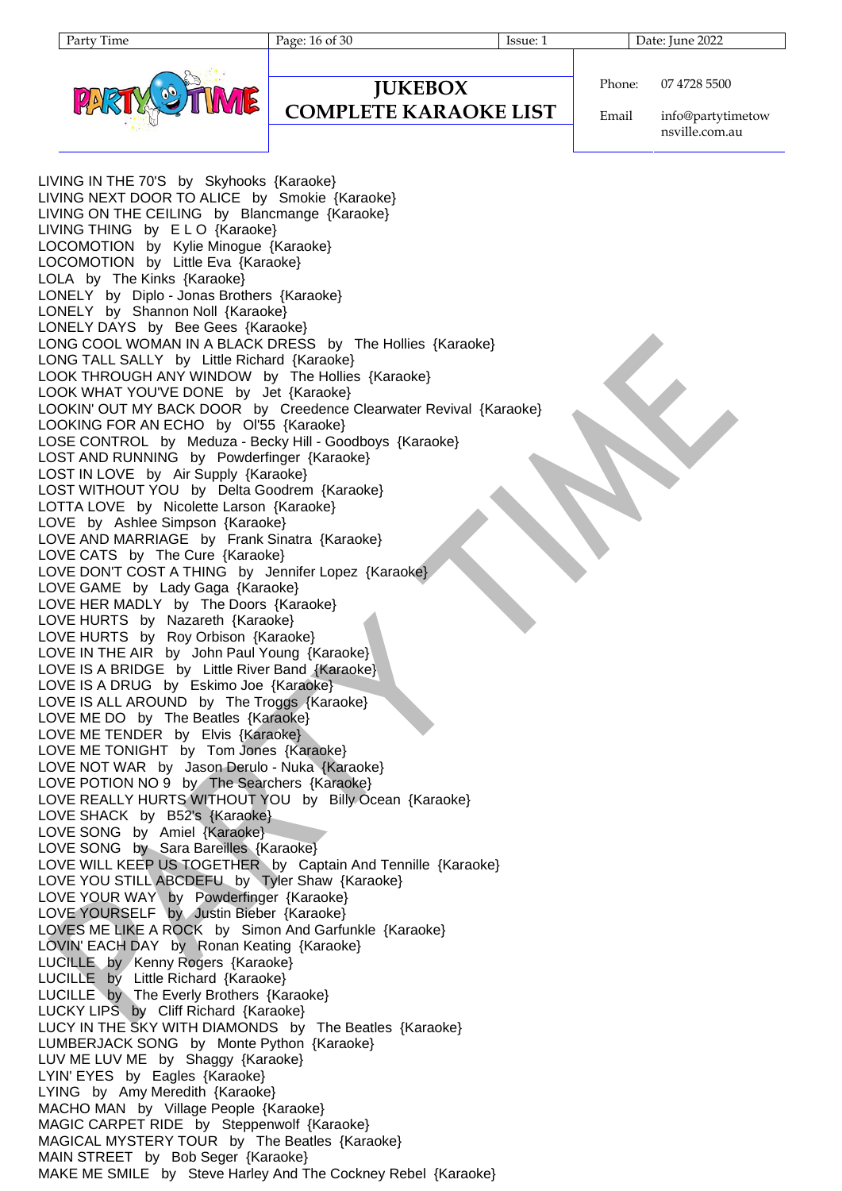Party Time Page: 16 of 30 Issue: 1 Date: June 2022



**JUKEBOX**

#### **COMPLETE KARAOKE LIST**

Phone: 07 4728 5500

Email info@partytimetow nsville.com.au

LIVING IN THE 70'S by Skyhooks {Karaoke} LIVING NEXT DOOR TO ALICE by Smokie {Karaoke} LIVING ON THE CEILING by Blancmange {Karaoke} LIVING THING by ELO {Karaoke} LOCOMOTION by Kylie Minogue {Karaoke} LOCOMOTION by Little Eva {Karaoke} LOLA by The Kinks {Karaoke} LONELY by Diplo - Jonas Brothers {Karaoke} LONELY by Shannon Noll {Karaoke} LONELY DAYS by Bee Gees {Karaoke} LONG COOL WOMAN IN A BLACK DRESS by The Hollies {Karaoke} LONG TALL SALLY by Little Richard {Karaoke} LOOK THROUGH ANY WINDOW by The Hollies {Karaoke} LOOK WHAT YOU'VE DONE by Jet {Karaoke} LOOKIN' OUT MY BACK DOOR by Creedence Clearwater Revival {Karaoke} LOOKING FOR AN ECHO by Ol'55 {Karaoke} LOSE CONTROL by Meduza - Becky Hill - Goodboys {Karaoke} LOST AND RUNNING by Powderfinger {Karaoke} LOST IN LOVE by Air Supply {Karaoke} LOST WITHOUT YOU by Delta Goodrem {Karaoke} LOTTA LOVE by Nicolette Larson {Karaoke} LOVE by Ashlee Simpson {Karaoke} LOVE AND MARRIAGE by Frank Sinatra {Karaoke} LOVE CATS by The Cure {Karaoke} LOVE DON'T COST A THING by Jennifer Lopez {Karaoke} LOVE GAME by Lady Gaga {Karaoke} LOVE HER MADLY by The Doors {Karaoke} LOVE HURTS by Nazareth {Karaoke} LOVE HURTS by Roy Orbison {Karaoke} LOVE IN THE AIR by John Paul Young {Karaoke} LOVE IS A BRIDGE by Little River Band {Karaoke} LOVE IS A DRUG by Eskimo Joe {Karaoke} LOVE IS ALL AROUND by The Troggs {Karaoke} LOVE ME DO by The Beatles {Karaoke} LOVE ME TENDER by Elvis {Karaoke} LOVE ME TONIGHT by Tom Jones {Karaoke} LOVE NOT WAR by Jason Derulo - Nuka {Karaoke} LOVE POTION NO 9 by The Searchers {Karaoke} LOVE REALLY HURTS WITHOUT YOU by Billy Ocean {Karaoke} LOVE SHACK by B52's {Karaoke} LOVE SONG by Amiel {Karaoke} LOVE SONG by Sara Bareilles {Karaoke} LOVE WILL KEEP US TOGETHER by Captain And Tennille {Karaoke} LOVE YOU STILL ABCDEFU by Tyler Shaw {Karaoke} LOVE YOUR WAY by Powderfinger {Karaoke} LOVE YOURSELF by Justin Bieber {Karaoke} LOVES ME LIKE A ROCK by Simon And Garfunkle {Karaoke} LOVIN' EACH DAY by Ronan Keating {Karaoke} LUCILLE by Kenny Rogers {Karaoke} LUCILLE by Little Richard {Karaoke} LUCILLE by The Everly Brothers {Karaoke} LUCKY LIPS by Cliff Richard {Karaoke} LUCY IN THE SKY WITH DIAMONDS by The Beatles {Karaoke} LUMBERJACK SONG by Monte Python {Karaoke} LUV ME LUV ME by Shaggy {Karaoke} LYIN' EYES by Eagles {Karaoke} LYING by Amy Meredith {Karaoke} MACHO MAN by Village People {Karaoke} MAGIC CARPET RIDE by Steppenwolf {Karaoke} MAGICAL MYSTERY TOUR by The Beatles {Karaoke} MAIN STREET by Bob Seger {Karaoke} MAKE ME SMILE by Steve Harley And The Cockney Rebel {Karaoke}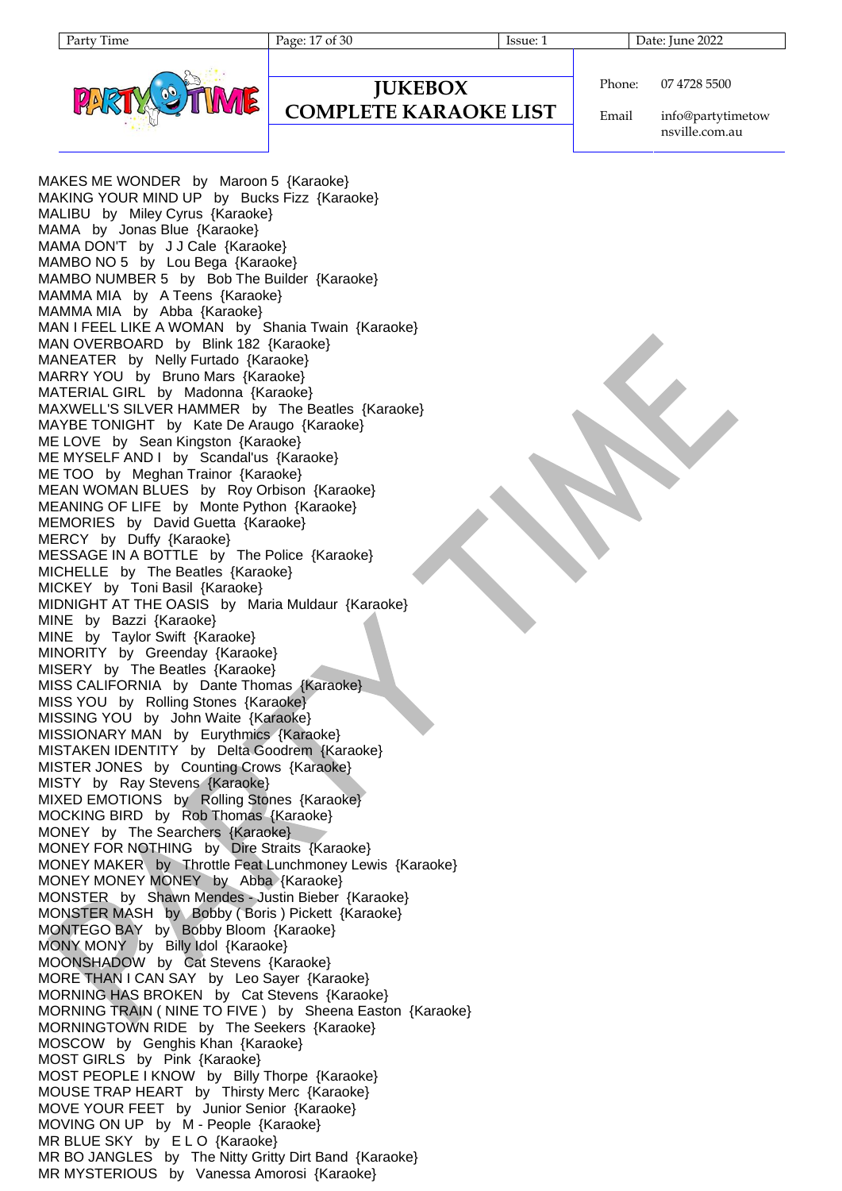

## **JUKEBOX**

#### **COMPLETE KARAOKE LIST**

Phone: 07 4728 5500

Email info@partytimetow nsville.com.au

MAKES ME WONDER by Maroon 5 {Karaoke} MAKING YOUR MIND UP by Bucks Fizz {Karaoke} MALIBU by Miley Cyrus {Karaoke} MAMA by Jonas Blue {Karaoke} MAMA DON'T by J J Cale {Karaoke} MAMBO NO 5 by Lou Bega {Karaoke} MAMBO NUMBER 5 by Bob The Builder {Karaoke} MAMMA MIA by A Teens {Karaoke} MAMMA MIA by Abba {Karaoke} MAN I FEEL LIKE A WOMAN by Shania Twain {Karaoke} MAN OVERBOARD by Blink 182 {Karaoke} MANEATER by Nelly Furtado {Karaoke} MARRY YOU by Bruno Mars {Karaoke} MATERIAL GIRL by Madonna {Karaoke} MAXWELL'S SILVER HAMMER by The Beatles {Karaoke} MAYBE TONIGHT by Kate De Araugo {Karaoke} ME LOVE by Sean Kingston {Karaoke} ME MYSELF AND I by Scandal'us {Karaoke} ME TOO by Meghan Trainor {Karaoke} MEAN WOMAN BLUES by Roy Orbison {Karaoke} MEANING OF LIFE by Monte Python {Karaoke} MEMORIES by David Guetta {Karaoke} MERCY by Duffy {Karaoke} MESSAGE IN A BOTTLE by The Police {Karaoke} MICHELLE by The Beatles {Karaoke} MICKEY by Toni Basil {Karaoke} MIDNIGHT AT THE OASIS by Maria Muldaur {Karaoke} MINE by Bazzi {Karaoke} MINE by Taylor Swift {Karaoke} MINORITY by Greenday {Karaoke} MISERY by The Beatles {Karaoke} MISS CALIFORNIA by Dante Thomas {Karaoke} MISS YOU by Rolling Stones {Karaoke} MISSING YOU by John Waite {Karaoke} MISSIONARY MAN by Eurythmics {Karaoke} MISTAKEN IDENTITY by Delta Goodrem {Karaoke} MISTER JONES by Counting Crows {Karaoke} MISTY by Ray Stevens {Karaoke} MIXED EMOTIONS by Rolling Stones {Karaoke} MOCKING BIRD by Rob Thomas {Karaoke} MONEY by The Searchers {Karaoke} MONEY FOR NOTHING by Dire Straits {Karaoke} MONEY MAKER by Throttle Feat Lunchmoney Lewis {Karaoke} MONEY MONEY MONEY by Abba {Karaoke} MONSTER by Shawn Mendes - Justin Bieber {Karaoke} MONSTER MASH by Bobby ( Boris ) Pickett {Karaoke} MONTEGO BAY by Bobby Bloom {Karaoke} MONY MONY by Billy Idol {Karaoke} MOONSHADOW by Cat Stevens {Karaoke} MORE THAN I CAN SAY by Leo Sayer {Karaoke} MORNING HAS BROKEN by Cat Stevens {Karaoke} MORNING TRAIN ( NINE TO FIVE ) by Sheena Easton {Karaoke} MORNINGTOWN RIDE by The Seekers {Karaoke} MOSCOW by Genghis Khan {Karaoke} MOST GIRLS by Pink {Karaoke} MOST PEOPLE I KNOW by Billy Thorpe {Karaoke} MOUSE TRAP HEART by Thirsty Merc {Karaoke} MOVE YOUR FEET by Junior Senior {Karaoke} MOVING ON UP by M - People {Karaoke} MR BLUE SKY by ELO {Karaoke} MR BO JANGLES by The Nitty Gritty Dirt Band {Karaoke} MR MYSTERIOUS by Vanessa Amorosi {Karaoke}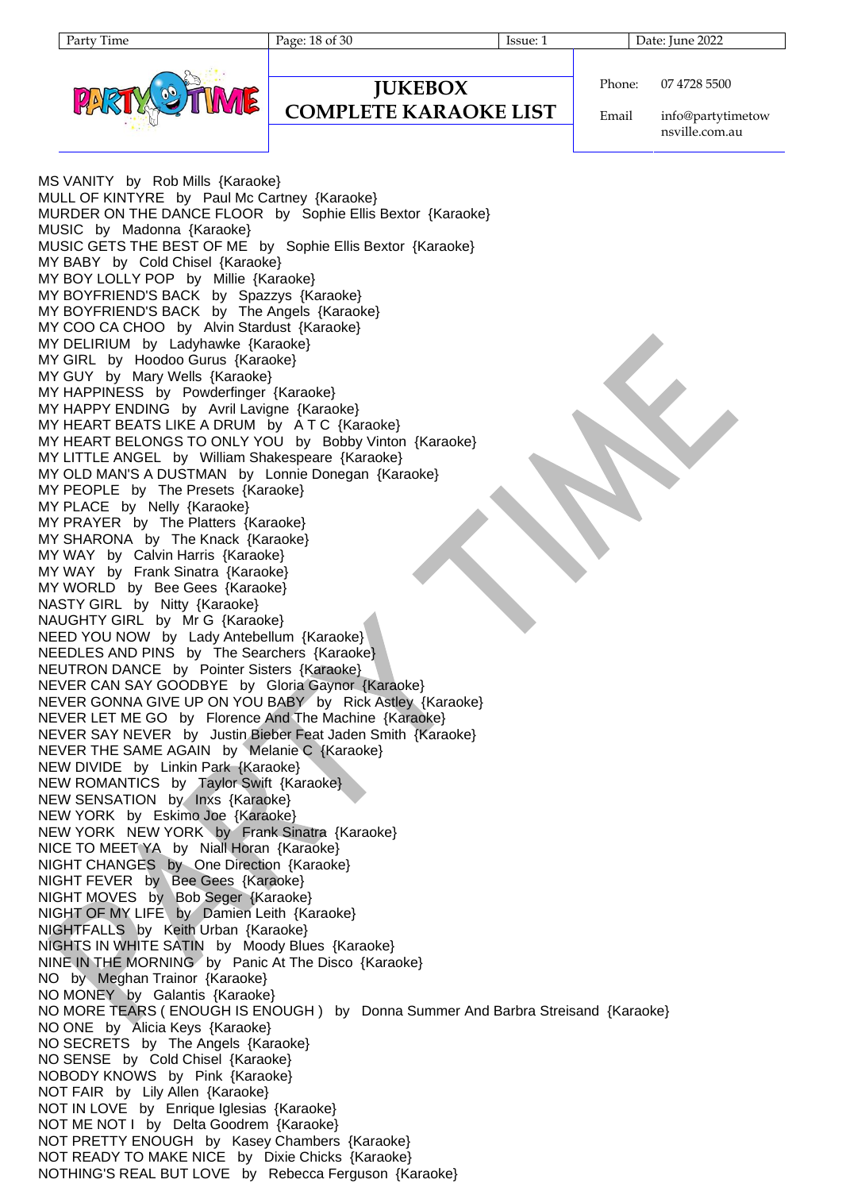Party Time Page: 18 of 30 Issue: 1 Date: June 2022



#### **COMPLETE KARAOKE LIST**

Phone: 07 4728 5500

Email info@partytimetow nsville.com.au

MS VANITY by Rob Mills {Karaoke} MULL OF KINTYRE by Paul Mc Cartney {Karaoke} MURDER ON THE DANCE FLOOR by Sophie Ellis Bextor {Karaoke} MUSIC by Madonna {Karaoke} MUSIC GETS THE BEST OF ME by Sophie Ellis Bextor {Karaoke} MY BABY by Cold Chisel {Karaoke} MY BOY LOLLY POP by Millie {Karaoke} MY BOYFRIEND'S BACK by Spazzys {Karaoke} MY BOYFRIEND'S BACK by The Angels {Karaoke} MY COO CA CHOO by Alvin Stardust {Karaoke} MY DELIRIUM by Ladyhawke {Karaoke} MY GIRL by Hoodoo Gurus {Karaoke} MY GUY by Mary Wells {Karaoke} MY HAPPINESS by Powderfinger {Karaoke} MY HAPPY ENDING by Avril Lavigne {Karaoke} MY HEART BEATS LIKE A DRUM by A T C {Karaoke} MY HEART BELONGS TO ONLY YOU by Bobby Vinton {Karaoke} MY LITTLE ANGEL by William Shakespeare {Karaoke} MY OLD MAN'S A DUSTMAN by Lonnie Donegan {Karaoke} MY PEOPLE by The Presets {Karaoke} MY PLACE by Nelly {Karaoke} MY PRAYER by The Platters {Karaoke} MY SHARONA by The Knack {Karaoke} MY WAY by Calvin Harris {Karaoke} MY WAY by Frank Sinatra {Karaoke} MY WORLD by Bee Gees {Karaoke} NASTY GIRL by Nitty {Karaoke} NAUGHTY GIRL by Mr G {Karaoke} NEED YOU NOW by Lady Antebellum {Karaoke} NEEDLES AND PINS by The Searchers {Karaoke} NEUTRON DANCE by Pointer Sisters {Karaoke} NEVER CAN SAY GOODBYE by Gloria Gaynor {Karaoke} NEVER GONNA GIVE UP ON YOU BABY by Rick Astley {Karaoke} NEVER LET ME GO by Florence And The Machine {Karaoke} NEVER SAY NEVER by Justin Bieber Feat Jaden Smith {Karaoke} NEVER THE SAME AGAIN by Melanie C {Karaoke} NEW DIVIDE by Linkin Park {Karaoke} NEW ROMANTICS by Taylor Swift {Karaoke} NEW SENSATION by Inxs {Karaoke} NEW YORK by Eskimo Joe {Karaoke} NEW YORK NEW YORK by Frank Sinatra {Karaoke} NICE TO MEET YA by Niall Horan {Karaoke} NIGHT CHANGES by One Direction {Karaoke} NIGHT FEVER by Bee Gees {Karaoke} NIGHT MOVES by Bob Seger {Karaoke} NIGHT OF MY LIFE by Damien Leith {Karaoke} NIGHTFALLS by Keith Urban {Karaoke} NIGHTS IN WHITE SATIN by Moody Blues {Karaoke} NINE IN THE MORNING by Panic At The Disco {Karaoke} NO by Meghan Trainor {Karaoke} NO MONEY by Galantis {Karaoke} NO MORE TEARS ( ENOUGH IS ENOUGH ) by Donna Summer And Barbra Streisand {Karaoke} NO ONE by Alicia Keys {Karaoke} NO SECRETS by The Angels {Karaoke} NO SENSE by Cold Chisel {Karaoke} NOBODY KNOWS by Pink {Karaoke} NOT FAIR by Lily Allen {Karaoke} NOT IN LOVE by Enrique Iglesias {Karaoke} NOT ME NOT I by Delta Goodrem {Karaoke} NOT PRETTY ENOUGH by Kasey Chambers {Karaoke} NOT READY TO MAKE NICE by Dixie Chicks {Karaoke} NOTHING'S REAL BUT LOVE by Rebecca Ferguson {Karaoke}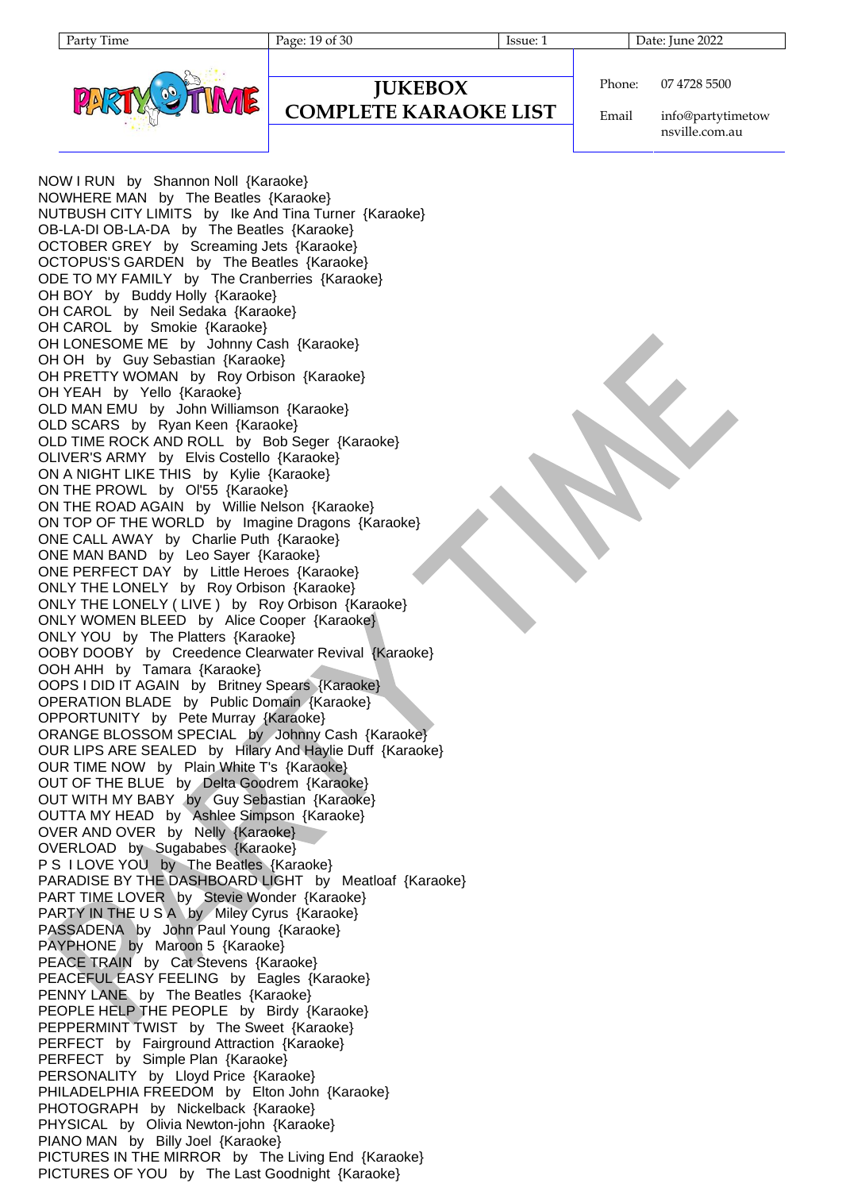

```
Phone:
          07 4728 5500
```
**COMPLETE KARAOKE LIST**

**JUKEBOX**

Email info@partytimetow nsville.com.au

NOW I RUN by Shannon Noll {Karaoke} NOWHERE MAN by The Beatles {Karaoke} NUTBUSH CITY LIMITS by Ike And Tina Turner {Karaoke} OB-LA-DI OB-LA-DA by The Beatles {Karaoke} OCTOBER GREY by Screaming Jets {Karaoke} OCTOPUS'S GARDEN by The Beatles {Karaoke} ODE TO MY FAMILY by The Cranberries {Karaoke} OH BOY by Buddy Holly {Karaoke} OH CAROL by Neil Sedaka {Karaoke} OH CAROL by Smokie {Karaoke} OH LONESOME ME by Johnny Cash {Karaoke} OH OH by Guy Sebastian {Karaoke} OH PRETTY WOMAN by Roy Orbison {Karaoke} OH YEAH by Yello {Karaoke} OLD MAN EMU by John Williamson {Karaoke} OLD SCARS by Ryan Keen {Karaoke} OLD TIME ROCK AND ROLL by Bob Seger {Karaoke} OLIVER'S ARMY by Elvis Costello {Karaoke} ON A NIGHT LIKE THIS by Kylie {Karaoke} ON THE PROWL by Ol'55 {Karaoke} ON THE ROAD AGAIN by Willie Nelson {Karaoke} ON TOP OF THE WORLD by Imagine Dragons {Karaoke} ONE CALL AWAY by Charlie Puth {Karaoke} ONE MAN BAND by Leo Sayer {Karaoke} ONE PERFECT DAY by Little Heroes {Karaoke} ONLY THE LONELY by Roy Orbison {Karaoke} ONLY THE LONELY ( LIVE ) by Roy Orbison {Karaoke} ONLY WOMEN BLEED by Alice Cooper {Karaoke} ONLY YOU by The Platters {Karaoke} OOBY DOOBY by Creedence Clearwater Revival {Karaoke} OOH AHH by Tamara {Karaoke} OOPS I DID IT AGAIN by Britney Spears {Karaoke} OPERATION BLADE by Public Domain {Karaoke} OPPORTUNITY by Pete Murray {Karaoke} ORANGE BLOSSOM SPECIAL by Johnny Cash {Karaoke} OUR LIPS ARE SEALED by Hilary And Haylie Duff {Karaoke} OUR TIME NOW by Plain White T's {Karaoke} OUT OF THE BLUE by Delta Goodrem {Karaoke} OUT WITH MY BABY by Guy Sebastian {Karaoke} OUTTA MY HEAD by Ashlee Simpson {Karaoke} OVER AND OVER by Nelly {Karaoke} OVERLOAD by Sugababes {Karaoke} P S I LOVE YOU by The Beatles {Karaoke} PARADISE BY THE DASHBOARD LIGHT by Meatloaf {Karaoke} PART TIME LOVER by Stevie Wonder {Karaoke} PARTY IN THE U S A by Miley Cyrus {Karaoke} PASSADENA by John Paul Young {Karaoke} PAYPHONE by Maroon 5 {Karaoke} PEACE TRAIN by Cat Stevens {Karaoke} PEACEFUL EASY FEELING by Eagles {Karaoke} PENNY LANE by The Beatles {Karaoke} PEOPLE HELP THE PEOPLE by Birdy {Karaoke} PEPPERMINT TWIST by The Sweet {Karaoke} PERFECT by Fairground Attraction {Karaoke} PERFECT by Simple Plan {Karaoke} PERSONALITY by Lloyd Price {Karaoke} PHILADELPHIA FREEDOM by Elton John {Karaoke} PHOTOGRAPH by Nickelback {Karaoke} PHYSICAL by Olivia Newton-john {Karaoke} PIANO MAN by Billy Joel {Karaoke} PICTURES IN THE MIRROR by The Living End {Karaoke} PICTURES OF YOU by The Last Goodnight {Karaoke}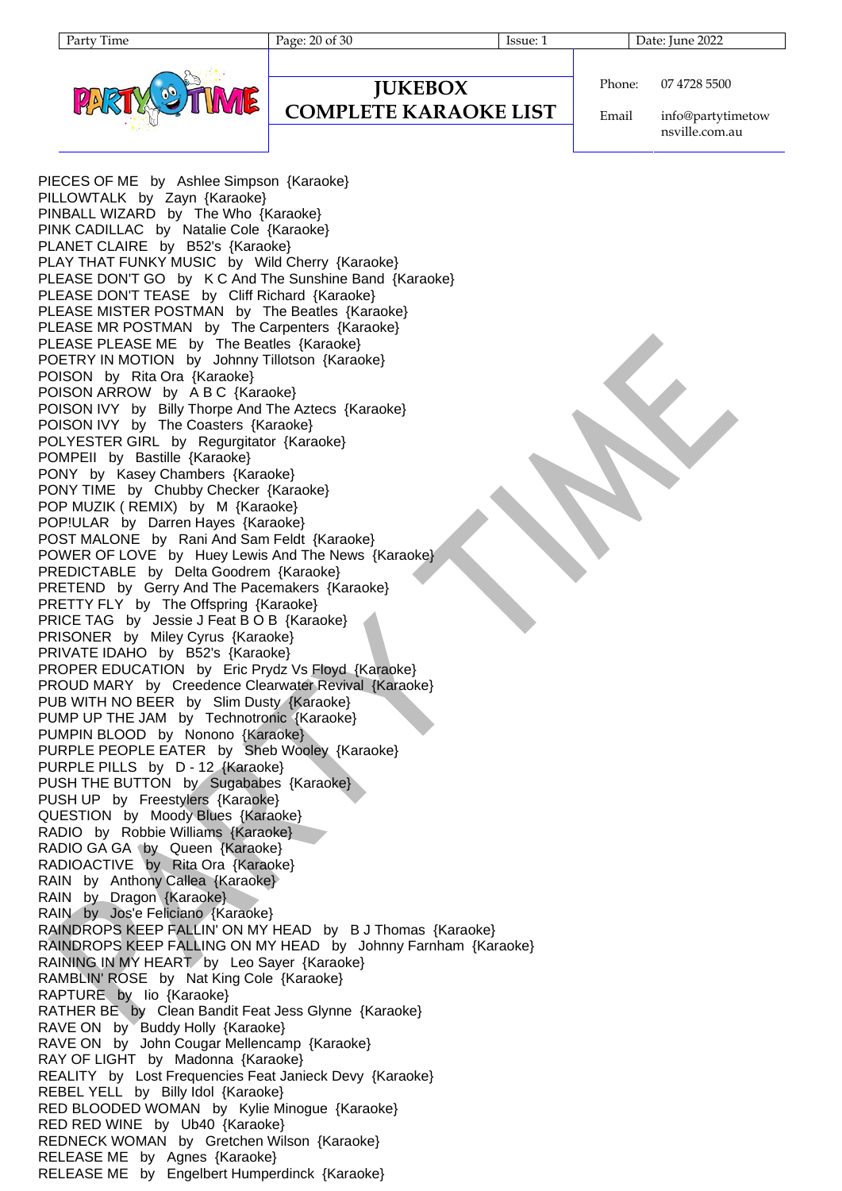

# **JUKEBOX**

### **COMPLETE KARAOKE LIST**

Phone: 07 4728 5500

Email info@partytimetow nsville.com.au

PIECES OF ME by Ashlee Simpson {Karaoke} PILLOWTALK by Zayn {Karaoke} PINBALL WIZARD by The Who {Karaoke} PINK CADILLAC by Natalie Cole {Karaoke} PLANET CLAIRE by B52's {Karaoke} PLAY THAT FUNKY MUSIC by Wild Cherry {Karaoke} PLEASE DON'T GO by K C And The Sunshine Band {Karaoke} PLEASE DON'T TEASE by Cliff Richard {Karaoke} PLEASE MISTER POSTMAN by The Beatles {Karaoke} PLEASE MR POSTMAN by The Carpenters {Karaoke} PLEASE PLEASE ME by The Beatles {Karaoke} POETRY IN MOTION by Johnny Tillotson {Karaoke} POISON by Rita Ora {Karaoke} POISON ARROW by A B C {Karaoke} POISON IVY by Billy Thorpe And The Aztecs {Karaoke} POISON IVY by The Coasters {Karaoke} POLYESTER GIRL by Regurgitator {Karaoke} POMPEII by Bastille {Karaoke} PONY by Kasey Chambers {Karaoke} PONY TIME by Chubby Checker {Karaoke} POP MUZIK ( REMIX) by M {Karaoke} POP!ULAR by Darren Hayes {Karaoke} POST MALONE by Rani And Sam Feldt {Karaoke} POWER OF LOVE by Huey Lewis And The News {Karaoke} PREDICTABLE by Delta Goodrem {Karaoke} PRETEND by Gerry And The Pacemakers {Karaoke} PRETTY FLY by The Offspring {Karaoke} PRICE TAG by Jessie J Feat B O B {Karaoke} PRISONER by Miley Cyrus {Karaoke} PRIVATE IDAHO by B52's {Karaoke} PROPER EDUCATION by Eric Prydz Vs Floyd {Karaoke} PROUD MARY by Creedence Clearwater Revival {Karaoke} PUB WITH NO BEER by Slim Dusty {Karaoke} PUMP UP THE JAM by Technotronic {Karaoke} PUMPIN BLOOD by Nonono {Karaoke} PURPLE PEOPLE EATER by Sheb Wooley {Karaoke} PURPLE PILLS by D - 12 {Karaoke} PUSH THE BUTTON by Sugababes {Karaoke} PUSH UP by Freestylers {Karaoke} QUESTION by Moody Blues {Karaoke} RADIO by Robbie Williams {Karaoke} RADIO GA GA (by Queen {Karaoke} RADIOACTIVE by Rita Ora {Karaoke} RAIN by Anthony Callea {Karaoke} RAIN by Dragon {Karaoke} RAIN by Jos'e Feliciano {Karaoke} RAINDROPS KEEP FALLIN' ON MY HEAD by B J Thomas {Karaoke} RAINDROPS KEEP FALLING ON MY HEAD by Johnny Farnham {Karaoke} RAINING IN MY HEART by Leo Sayer {Karaoke} RAMBLIN' ROSE by Nat King Cole {Karaoke} RAPTURE by Iio {Karaoke} RATHER BE by Clean Bandit Feat Jess Glynne {Karaoke} RAVE ON by Buddy Holly {Karaoke} RAVE ON by John Cougar Mellencamp {Karaoke} RAY OF LIGHT by Madonna {Karaoke} REALITY by Lost Frequencies Feat Janieck Devy {Karaoke} REBEL YELL by Billy Idol {Karaoke} RED BLOODED WOMAN by Kylie Minogue {Karaoke} RED RED WINE by Ub40 {Karaoke} REDNECK WOMAN by Gretchen Wilson {Karaoke} RELEASE ME by Agnes {Karaoke} RELEASE ME by Engelbert Humperdinck {Karaoke}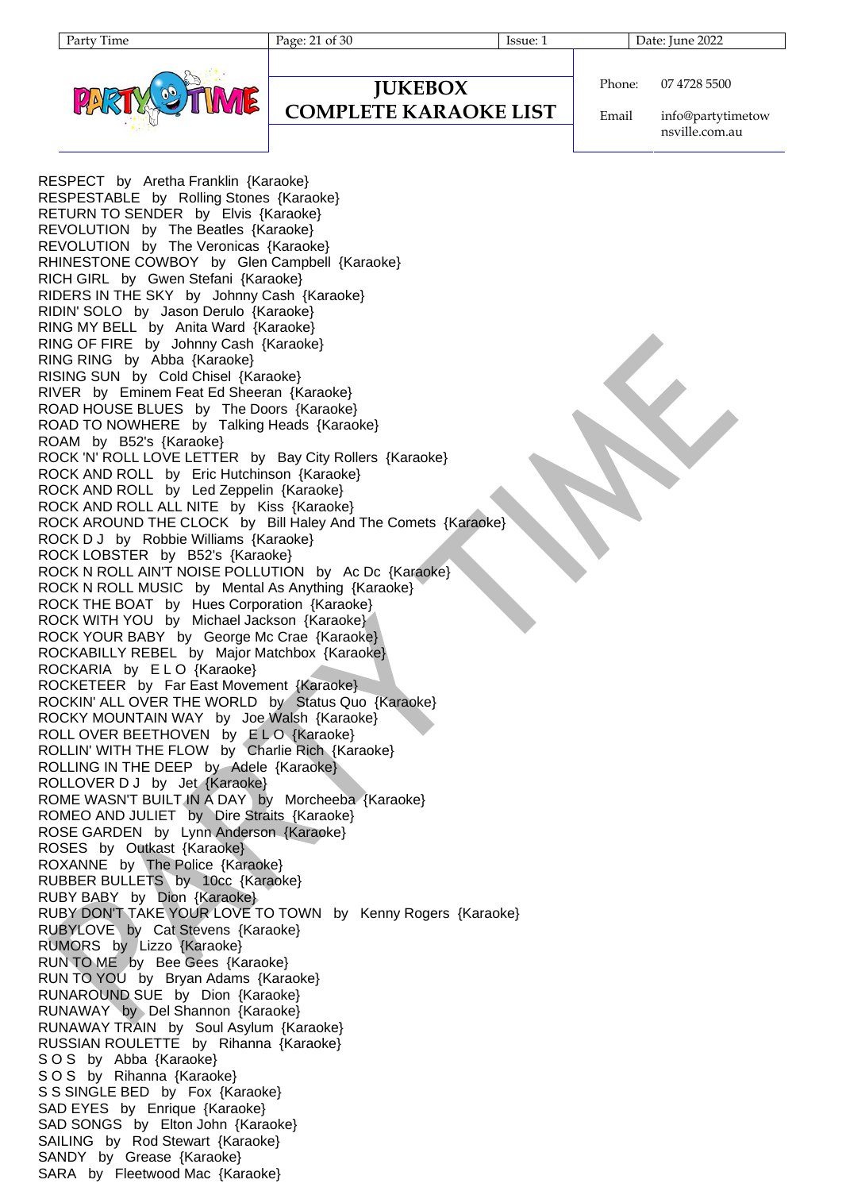Party Time Page: 21 of 30 Issue: 1 Date: June 2022



## **JUKEBOX**

### **COMPLETE KARAOKE LIST**

Phone: 07 4728 5500

Email info@partytimetow nsville.com.au

RESPECT by Aretha Franklin {Karaoke} RESPESTABLE by Rolling Stones {Karaoke} RETURN TO SENDER by Elvis {Karaoke} REVOLUTION by The Beatles {Karaoke} REVOLUTION by The Veronicas {Karaoke} RHINESTONE COWBOY by Glen Campbell {Karaoke} RICH GIRL by Gwen Stefani {Karaoke} RIDERS IN THE SKY by Johnny Cash {Karaoke} RIDIN' SOLO by Jason Derulo {Karaoke} RING MY BELL by Anita Ward {Karaoke} RING OF FIRE by Johnny Cash {Karaoke} RING RING by Abba {Karaoke} RISING SUN by Cold Chisel {Karaoke} RIVER by Eminem Feat Ed Sheeran {Karaoke} ROAD HOUSE BLUES by The Doors {Karaoke} ROAD TO NOWHERE by Talking Heads {Karaoke} ROAM by B52's {Karaoke} ROCK 'N' ROLL LOVE LETTER by Bay City Rollers {Karaoke} ROCK AND ROLL by Eric Hutchinson {Karaoke} ROCK AND ROLL by Led Zeppelin {Karaoke} ROCK AND ROLL ALL NITE by Kiss {Karaoke} ROCK AROUND THE CLOCK by Bill Haley And The Comets {Karaoke} ROCK D J by Robbie Williams {Karaoke} ROCK LOBSTER by B52's {Karaoke} ROCK N ROLL AIN'T NOISE POLLUTION by Ac Dc {Karaoke} ROCK N ROLL MUSIC by Mental As Anything {Karaoke} ROCK THE BOAT by Hues Corporation {Karaoke} ROCK WITH YOU by Michael Jackson {Karaoke} ROCK YOUR BABY by George Mc Crae {Karaoke} ROCKABILLY REBEL by Major Matchbox {Karaoke} ROCKARIA by E L O {Karaoke} ROCKETEER by Far East Movement {Karaoke} ROCKIN' ALL OVER THE WORLD by Status Quo {Karaoke} ROCKY MOUNTAIN WAY by Joe Walsh {Karaoke} ROLL OVER BEETHOVEN by ELO {Karaoke} ROLLIN' WITH THE FLOW by Charlie Rich {Karaoke} ROLLING IN THE DEEP by Adele {Karaoke} ROLLOVER D J by Jet {Karaoke} ROME WASN'T BUILT IN A DAY by Morcheeba {Karaoke} ROMEO AND JULIET by Dire Straits {Karaoke} ROSE GARDEN by Lynn Anderson {Karaoke} ROSES by Outkast {Karaoke} ROXANNE by The Police {Karaoke} RUBBER BULLETS by 10cc {Karaoke} RUBY BABY by Dion {Karaoke} RUBY DON'T TAKE YOUR LOVE TO TOWN by Kenny Rogers {Karaoke} RUBYLOVE by Cat Stevens {Karaoke} RUMORS by Lizzo {Karaoke} RUN TO ME by Bee Gees {Karaoke} RUN TO YOU by Bryan Adams {Karaoke} RUNAROUND SUE by Dion {Karaoke} RUNAWAY by Del Shannon {Karaoke} RUNAWAY TRAIN by Soul Asylum {Karaoke} RUSSIAN ROULETTE by Rihanna {Karaoke} SOS by Abba {Karaoke} SOS by Rihanna {Karaoke} S S SINGLE BED by Fox {Karaoke} SAD EYES by Enrique {Karaoke} SAD SONGS by Elton John {Karaoke} SAILING by Rod Stewart {Karaoke} SANDY by Grease {Karaoke} SARA by Fleetwood Mac {Karaoke}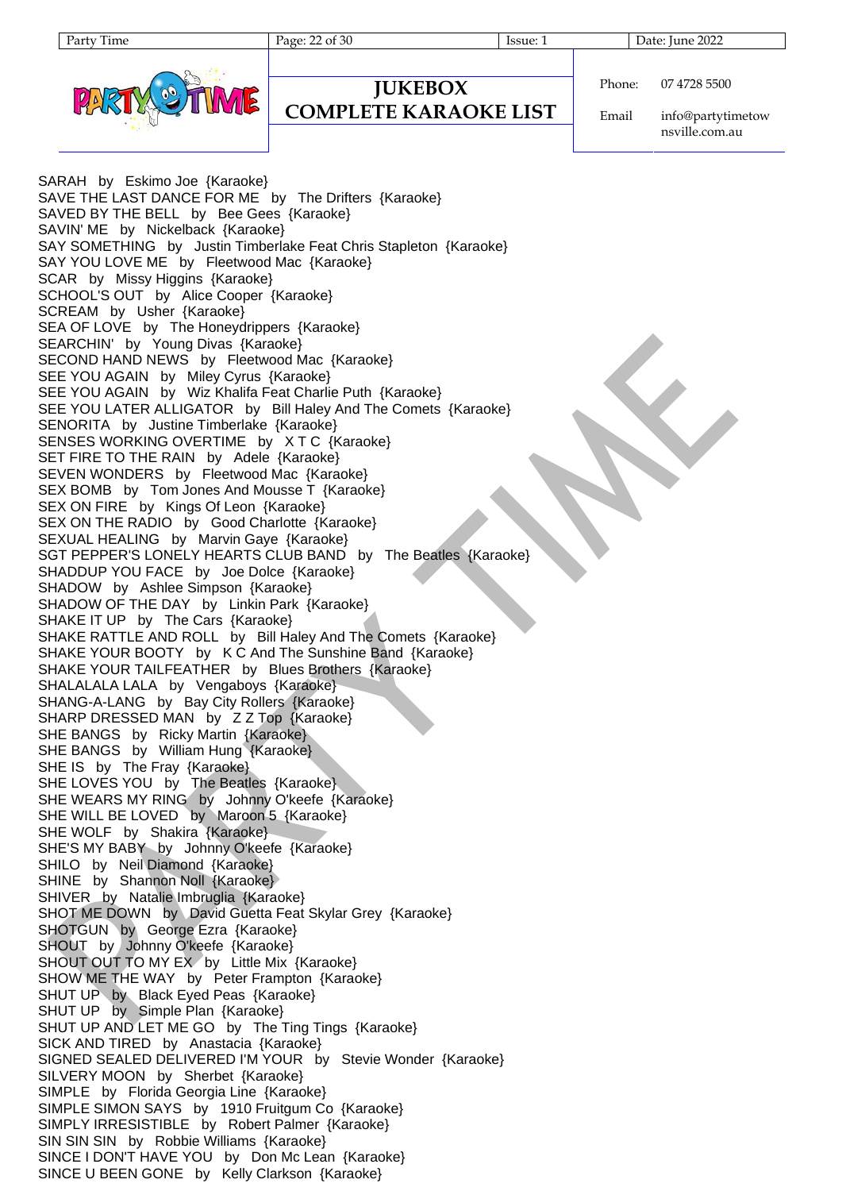**JUKEBOX COMPLETE KARAOKE LIST**

Party Time Page: 22 of 30 Issue: 1 Date: June 2022



```
Phone:
          07 4728 5500
```
Email info@partytimetow nsville.com.au

SARAH by Eskimo Joe {Karaoke} SAVE THE LAST DANCE FOR ME by The Drifters {Karaoke} SAVED BY THE BELL by Bee Gees {Karaoke} SAVIN' ME by Nickelback {Karaoke} SAY SOMETHING by Justin Timberlake Feat Chris Stapleton {Karaoke} SAY YOU LOVE ME by Fleetwood Mac {Karaoke} SCAR by Missy Higgins {Karaoke} SCHOOL'S OUT by Alice Cooper {Karaoke} SCREAM by Usher {Karaoke} SEA OF LOVE by The Honeydrippers {Karaoke} SEARCHIN' by Young Divas {Karaoke} SECOND HAND NEWS by Fleetwood Mac {Karaoke} SEE YOU AGAIN by Miley Cyrus {Karaoke} SEE YOU AGAIN by Wiz Khalifa Feat Charlie Puth {Karaoke} SEE YOU LATER ALLIGATOR by Bill Haley And The Comets {Karaoke} SENORITA by Justine Timberlake {Karaoke} SENSES WORKING OVERTIME by X T C {Karaoke} SET FIRE TO THE RAIN by Adele {Karaoke} SEVEN WONDERS by Fleetwood Mac {Karaoke} SEX BOMB by Tom Jones And Mousse T {Karaoke} SEX ON FIRE by Kings Of Leon {Karaoke} SEX ON THE RADIO by Good Charlotte {Karaoke} SEXUAL HEALING by Marvin Gaye {Karaoke} SGT PEPPER'S LONELY HEARTS CLUB BAND by The Beatles {Karaoke} SHADDUP YOU FACE by Joe Dolce {Karaoke} SHADOW by Ashlee Simpson {Karaoke} SHADOW OF THE DAY by Linkin Park {Karaoke} SHAKE IT UP by The Cars {Karaoke} SHAKE RATTLE AND ROLL by Bill Haley And The Comets {Karaoke} SHAKE YOUR BOOTY by K C And The Sunshine Band {Karaoke} SHAKE YOUR TAILFEATHER by Blues Brothers {Karaoke} SHALALALA LALA by Vengaboys {Karaoke} SHANG-A-LANG by Bay City Rollers {Karaoke} SHARP DRESSED MAN by Z Z Top {Karaoke} SHE BANGS by Ricky Martin {Karaoke} SHE BANGS by William Hung {Karaoke} SHE IS by The Fray {Karaoke} SHE LOVES YOU by The Beatles {Karaoke} SHE WEARS MY RING by Johnny O'keefe {Karaoke} SHE WILL BE LOVED by Maroon 5 {Karaoke} SHE WOLF by Shakira {Karaoke} SHE'S MY BABY by Johnny O'keefe {Karaoke} SHILO by Neil Diamond {Karaoke} SHINE by Shannon Noll {Karaoke} SHIVER by Natalie Imbruglia {Karaoke} SHOT ME DOWN by David Guetta Feat Skylar Grey {Karaoke} SHOTGUN by George Ezra {Karaoke} SHOUT by Johnny O'keefe {Karaoke} SHOUT OUT TO MY EX by Little Mix {Karaoke} SHOW ME THE WAY by Peter Frampton {Karaoke} SHUT UP by Black Eyed Peas {Karaoke} SHUT UP by Simple Plan {Karaoke} SHUT UP AND LET ME GO by The Ting Tings {Karaoke} SICK AND TIRED by Anastacia {Karaoke} SIGNED SEALED DELIVERED I'M YOUR by Stevie Wonder {Karaoke} SILVERY MOON by Sherbet {Karaoke} SIMPLE by Florida Georgia Line {Karaoke} SIMPLE SIMON SAYS by 1910 Fruitgum Co {Karaoke} SIMPLY IRRESISTIBLE by Robert Palmer {Karaoke} SIN SIN SIN by Robbie Williams {Karaoke} SINCE I DON'T HAVE YOU by Don Mc Lean {Karaoke} SINCE U BEEN GONE by Kelly Clarkson {Karaoke}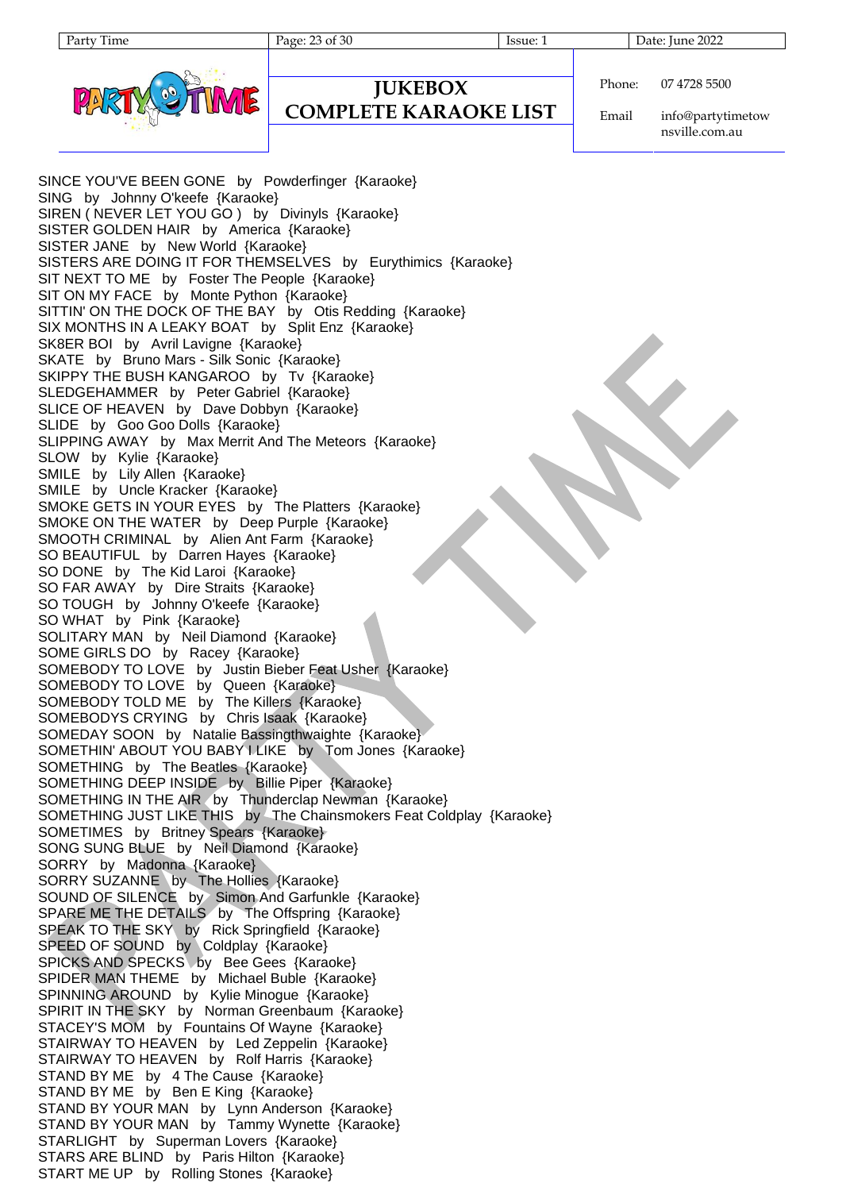Party Time Page: 23 of 30 Issue: 1 Date: June 2022



Phone: 07 4728 5500

**JUKEBOX COMPLETE KARAOKE LIST**

Email info@partytimetow nsville.com.au

SINCE YOU'VE BEEN GONE by Powderfinger {Karaoke} SING by Johnny O'keefe {Karaoke} SIREN ( NEVER LET YOU GO ) by Divinyls {Karaoke} SISTER GOLDEN HAIR by America {Karaoke} SISTER JANE by New World {Karaoke} SISTERS ARE DOING IT FOR THEMSELVES by Eurythimics {Karaoke} SIT NEXT TO ME by Foster The People {Karaoke} SIT ON MY FACE by Monte Python {Karaoke} SITTIN' ON THE DOCK OF THE BAY by Otis Redding {Karaoke} SIX MONTHS IN A LEAKY BOAT by Split Enz {Karaoke} SK8ER BOI by Avril Lavigne {Karaoke} SKATE by Bruno Mars - Silk Sonic {Karaoke} SKIPPY THE BUSH KANGAROO by Tv {Karaoke} SLEDGEHAMMER by Peter Gabriel {Karaoke} SLICE OF HEAVEN by Dave Dobbyn {Karaoke} SLIDE by Goo Goo Dolls {Karaoke} SLIPPING AWAY by Max Merrit And The Meteors {Karaoke} SLOW by Kylie {Karaoke} SMILE by Lily Allen {Karaoke} SMILE by Uncle Kracker {Karaoke} SMOKE GETS IN YOUR EYES by The Platters {Karaoke} SMOKE ON THE WATER by Deep Purple {Karaoke} SMOOTH CRIMINAL by Alien Ant Farm {Karaoke} SO BEAUTIFUL by Darren Hayes {Karaoke} SO DONE by The Kid Laroi {Karaoke} SO FAR AWAY by Dire Straits {Karaoke} SO TOUGH by Johnny O'keefe {Karaoke} SO WHAT by Pink {Karaoke} SOLITARY MAN by Neil Diamond {Karaoke} SOME GIRLS DO by Racey {Karaoke} SOMEBODY TO LOVE by Justin Bieber Feat Usher {Karaoke} SOMEBODY TO LOVE by Queen {Karaoke} SOMEBODY TOLD ME by The Killers {Karaoke} SOMEBODYS CRYING by Chris Isaak {Karaoke} SOMEDAY SOON by Natalie Bassingthwaighte {Karaoke} SOMETHIN' ABOUT YOU BABY I LIKE by Tom Jones {Karaoke} SOMETHING by The Beatles {Karaoke} SOMETHING DEEP INSIDE by Billie Piper {Karaoke} SOMETHING IN THE AIR by Thunderclap Newman {Karaoke} SOMETHING JUST LIKE THIS by The Chainsmokers Feat Coldplay {Karaoke} SOMETIMES by Britney Spears {Karaoke} SONG SUNG BLUE by Neil Diamond {Karaoke} SORRY by Madonna {Karaoke} SORRY SUZANNE by The Hollies {Karaoke} SOUND OF SILENCE by Simon And Garfunkle {Karaoke} SPARE ME THE DETAILS by The Offspring {Karaoke} SPEAK TO THE SKY by Rick Springfield {Karaoke} SPEED OF SOUND by Coldplay {Karaoke} SPICKS AND SPECKS by Bee Gees {Karaoke} SPIDER MAN THEME by Michael Buble {Karaoke} SPINNING AROUND by Kylie Minogue {Karaoke} SPIRIT IN THE SKY by Norman Greenbaum {Karaoke} STACEY'S MOM by Fountains Of Wayne {Karaoke} STAIRWAY TO HEAVEN by Led Zeppelin {Karaoke} STAIRWAY TO HEAVEN by Rolf Harris {Karaoke} STAND BY ME by 4 The Cause {Karaoke} STAND BY ME by Ben E King {Karaoke} STAND BY YOUR MAN by Lynn Anderson {Karaoke} STAND BY YOUR MAN by Tammy Wynette {Karaoke} STARLIGHT by Superman Lovers {Karaoke} STARS ARE BLIND by Paris Hilton {Karaoke} START ME UP by Rolling Stones {Karaoke}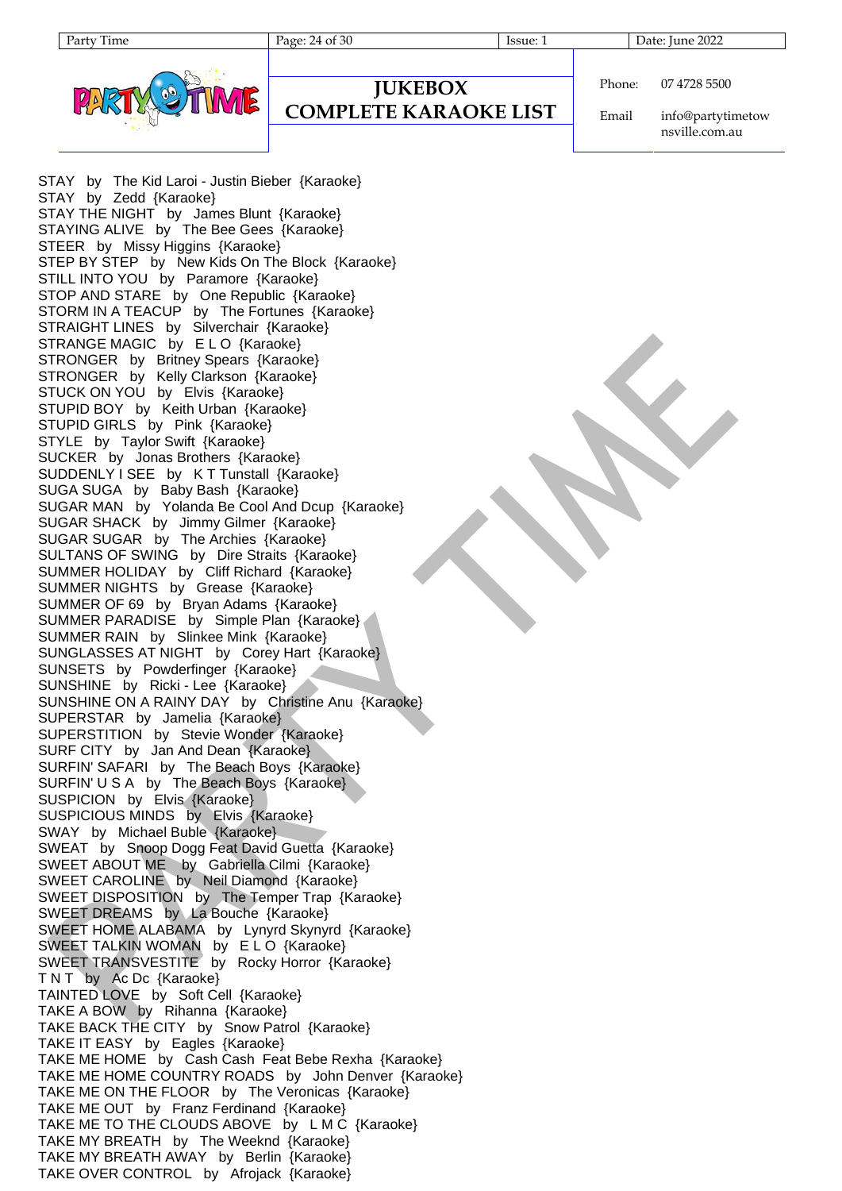

# **JUKEBOX**

## **COMPLETE KARAOKE LIST**

Phone: 07 4728 5500

Email info@partytimetow nsville.com.au

STAY by The Kid Laroi - Justin Bieber {Karaoke} STAY by Zedd {Karaoke} STAY THE NIGHT by James Blunt {Karaoke} STAYING ALIVE by The Bee Gees {Karaoke} STEER by Missy Higgins {Karaoke} STEP BY STEP by New Kids On The Block {Karaoke} STILL INTO YOU by Paramore {Karaoke} STOP AND STARE by One Republic {Karaoke} STORM IN A TEACUP by The Fortunes {Karaoke} STRAIGHT LINES by Silverchair {Karaoke} STRANGE MAGIC by E L O {Karaoke} STRONGER by Britney Spears {Karaoke} STRONGER by Kelly Clarkson {Karaoke} STUCK ON YOU by Elvis {Karaoke} STUPID BOY by Keith Urban {Karaoke} STUPID GIRLS by Pink {Karaoke} STYLE by Taylor Swift {Karaoke} SUCKER by Jonas Brothers {Karaoke} SUDDENLY I SEE by K T Tunstall {Karaoke} SUGA SUGA by Baby Bash {Karaoke} SUGAR MAN by Yolanda Be Cool And Dcup {Karaoke} SUGAR SHACK by Jimmy Gilmer {Karaoke} SUGAR SUGAR by The Archies {Karaoke} SULTANS OF SWING by Dire Straits {Karaoke} SUMMER HOLIDAY by Cliff Richard {Karaoke} SUMMER NIGHTS by Grease {Karaoke} SUMMER OF 69 by Bryan Adams {Karaoke} SUMMER PARADISE by Simple Plan {Karaoke} SUMMER RAIN by Slinkee Mink {Karaoke} SUNGLASSES AT NIGHT by Corey Hart {Karaoke} SUNSETS by Powderfinger {Karaoke} SUNSHINE by Ricki - Lee {Karaoke} SUNSHINE ON A RAINY DAY by Christine Anu {Karaoke} SUPERSTAR by Jamelia {Karaoke} SUPERSTITION by Stevie Wonder {Karaoke} SURF CITY by Jan And Dean {Karaoke} SURFIN' SAFARI by The Beach Boys {Karaoke} SURFIN' U S A by The Beach Boys {Karaoke} SUSPICION by Elvis {Karaoke} SUSPICIOUS MINDS by Elvis {Karaoke} SWAY by Michael Buble {Karaoke} SWEAT by Snoop Dogg Feat David Guetta {Karaoke} SWEET ABOUT ME by Gabriella Cilmi {Karaoke} SWEET CAROLINE by Neil Diamond {Karaoke} SWEET DISPOSITION by The Temper Trap {Karaoke} SWEET DREAMS by La Bouche {Karaoke} SWEET HOME ALABAMA by Lynyrd Skynyrd {Karaoke} SWEET TALKIN WOMAN by E L O {Karaoke} SWEET TRANSVESTITE by Rocky Horror {Karaoke} T N T by Ac Dc {Karaoke} TAINTED LOVE by Soft Cell {Karaoke} TAKE A BOW by Rihanna {Karaoke} TAKE BACK THE CITY by Snow Patrol {Karaoke} TAKE IT EASY by Eagles {Karaoke} TAKE ME HOME by Cash Cash Feat Bebe Rexha {Karaoke} TAKE ME HOME COUNTRY ROADS by John Denver {Karaoke} TAKE ME ON THE FLOOR by The Veronicas {Karaoke} TAKE ME OUT by Franz Ferdinand {Karaoke} TAKE ME TO THE CLOUDS ABOVE by L M C {Karaoke} TAKE MY BREATH by The Weeknd {Karaoke} TAKE MY BREATH AWAY by Berlin {Karaoke} TAKE OVER CONTROL by Afrojack {Karaoke}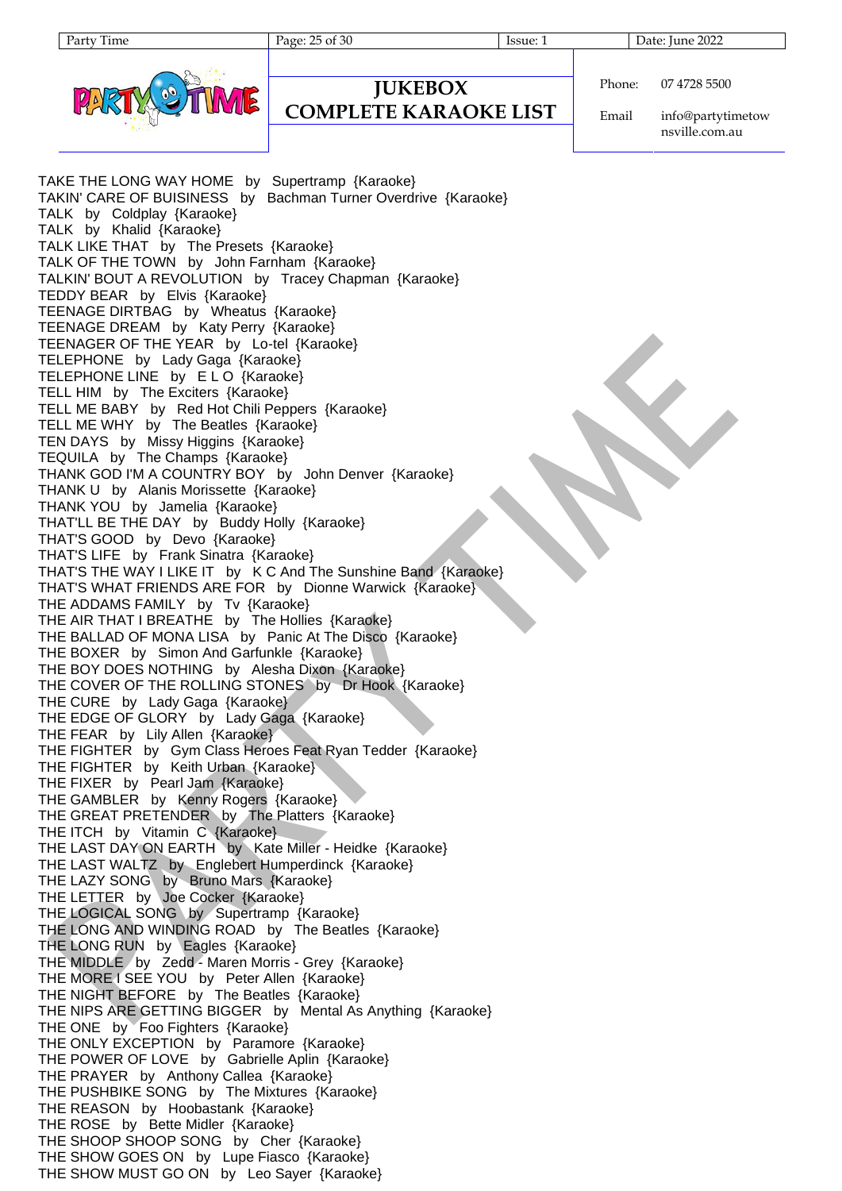**JUKEBOX COMPLETE KARAOKE LIST**

Party Time Page: 25 of 30 Issue: 1 Date: June 2022

```
Phone:
          07 4728 5500
```
Email info@partytimetow nsville.com.au

TAKE THE LONG WAY HOME by Supertramp {Karaoke} TAKIN' CARE OF BUISINESS by Bachman Turner Overdrive {Karaoke} TALK by Coldplay {Karaoke} TALK by Khalid {Karaoke} TALK LIKE THAT by The Presets {Karaoke} TALK OF THE TOWN by John Farnham {Karaoke} TALKIN' BOUT A REVOLUTION by Tracey Chapman {Karaoke} TEDDY BEAR by Elvis {Karaoke} TEENAGE DIRTBAG by Wheatus {Karaoke} TEENAGE DREAM by Katy Perry {Karaoke} TEENAGER OF THE YEAR by Lo-tel {Karaoke} TELEPHONE by Lady Gaga {Karaoke} TELEPHONE LINE by E L O {Karaoke} TELL HIM by The Exciters {Karaoke} TELL ME BABY by Red Hot Chili Peppers {Karaoke} TELL ME WHY by The Beatles {Karaoke} TEN DAYS by Missy Higgins {Karaoke} TEQUILA by The Champs {Karaoke} THANK GOD I'M A COUNTRY BOY by John Denver {Karaoke} THANK U by Alanis Morissette {Karaoke} THANK YOU by Jamelia {Karaoke} THAT'LL BE THE DAY by Buddy Holly {Karaoke} THAT'S GOOD by Devo {Karaoke} THAT'S LIFE by Frank Sinatra {Karaoke} THAT'S THE WAY I LIKE IT by K C And The Sunshine Band {Karaoke} THAT'S WHAT FRIENDS ARE FOR by Dionne Warwick {Karaoke} THE ADDAMS FAMILY by Tv {Karaoke} THE AIR THAT I BREATHE by The Hollies {Karaoke} THE BALLAD OF MONA LISA by Panic At The Disco {Karaoke} THE BOXER by Simon And Garfunkle {Karaoke} THE BOY DOES NOTHING by Alesha Dixon {Karaoke} THE COVER OF THE ROLLING STONES by Dr Hook {Karaoke} THE CURE by Lady Gaga {Karaoke} THE EDGE OF GLORY by Lady Gaga {Karaoke} THE FEAR by Lily Allen {Karaoke} THE FIGHTER by Gym Class Heroes Feat Ryan Tedder {Karaoke} THE FIGHTER by Keith Urban {Karaoke} THE FIXER by Pearl Jam {Karaoke} THE GAMBLER by Kenny Rogers {Karaoke} THE GREAT PRETENDER by The Platters {Karaoke} THE ITCH by Vitamin C {Karaoke} THE LAST DAY ON EARTH by Kate Miller - Heidke {Karaoke} THE LAST WALTZ by Englebert Humperdinck {Karaoke} THE LAZY SONG by Bruno Mars {Karaoke} THE LETTER by Joe Cocker {Karaoke} THE LOGICAL SONG by Supertramp {Karaoke} THE LONG AND WINDING ROAD by The Beatles {Karaoke} THE LONG RUN by Eagles {Karaoke} THE MIDDLE by Zedd - Maren Morris - Grey {Karaoke} THE MORE I SEE YOU by Peter Allen {Karaoke} THE NIGHT BEFORE by The Beatles {Karaoke} THE NIPS ARE GETTING BIGGER by Mental As Anything {Karaoke} THE ONE by Foo Fighters {Karaoke} THE ONLY EXCEPTION by Paramore {Karaoke} THE POWER OF LOVE by Gabrielle Aplin {Karaoke} THE PRAYER by Anthony Callea {Karaoke} THE PUSHBIKE SONG by The Mixtures {Karaoke} THE REASON by Hoobastank {Karaoke} THE ROSE by Bette Midler {Karaoke} THE SHOOP SHOOP SONG by Cher {Karaoke} THE SHOW GOES ON by Lupe Fiasco {Karaoke} THE SHOW MUST GO ON by Leo Sayer {Karaoke}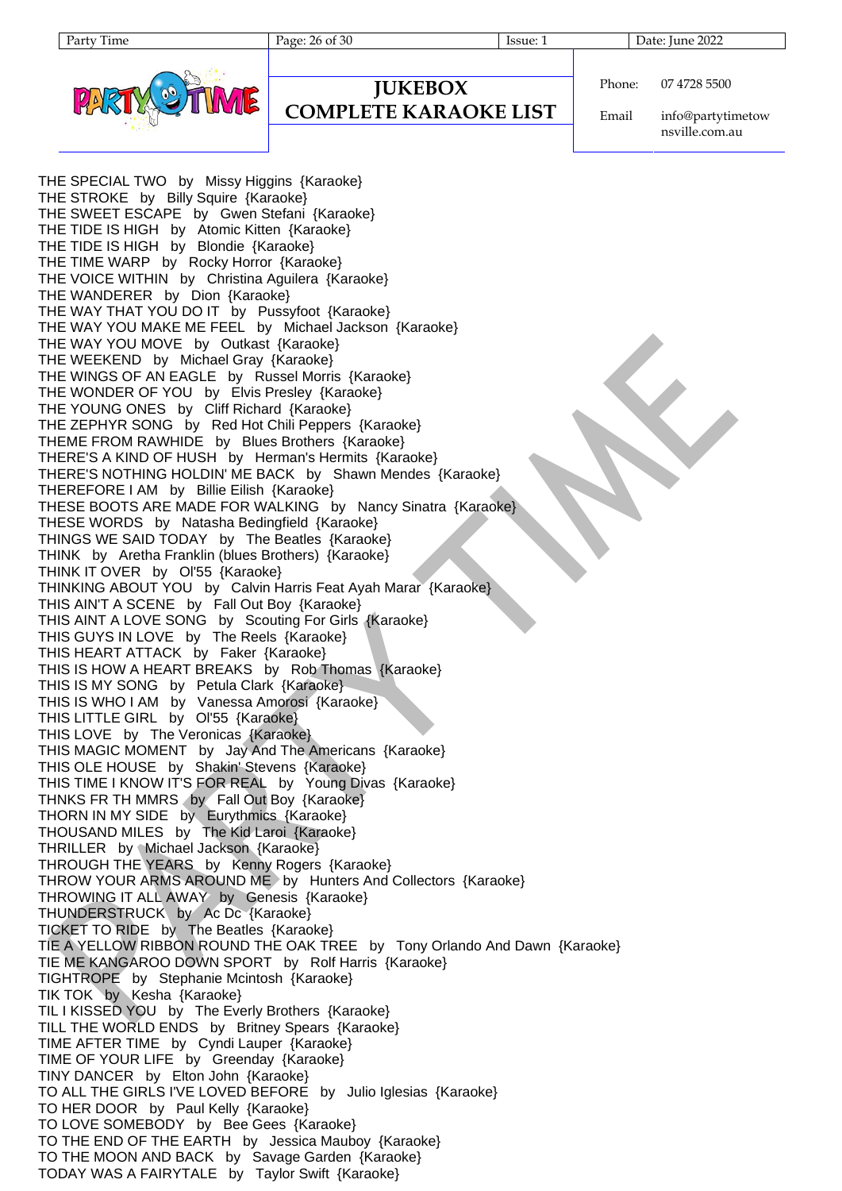Party Time Page: 26 of 30 Issue: 1 Date: June 2022



Phone:

**JUKEBOX COMPLETE KARAOKE LIST** 07 4728 5500

Email info@partytimetow nsville.com.au

THE SPECIAL TWO by Missy Higgins {Karaoke} THE STROKE by Billy Squire {Karaoke} THE SWEET ESCAPE by Gwen Stefani {Karaoke} THE TIDE IS HIGH by Atomic Kitten {Karaoke} THE TIDE IS HIGH by Blondie {Karaoke} THE TIME WARP by Rocky Horror {Karaoke} THE VOICE WITHIN by Christina Aguilera {Karaoke} THE WANDERER by Dion {Karaoke} THE WAY THAT YOU DO IT by Pussyfoot {Karaoke} THE WAY YOU MAKE ME FEEL by Michael Jackson {Karaoke} THE WAY YOU MOVE by Outkast {Karaoke} THE WEEKEND by Michael Gray {Karaoke} THE WINGS OF AN EAGLE by Russel Morris {Karaoke} THE WONDER OF YOU by Elvis Presley {Karaoke} THE YOUNG ONES by Cliff Richard {Karaoke} THE ZEPHYR SONG by Red Hot Chili Peppers {Karaoke} THEME FROM RAWHIDE by Blues Brothers {Karaoke} THERE'S A KIND OF HUSH by Herman's Hermits {Karaoke} THERE'S NOTHING HOLDIN' ME BACK by Shawn Mendes {Karaoke} THEREFORE I AM by Billie Eilish {Karaoke} THESE BOOTS ARE MADE FOR WALKING by Nancy Sinatra {Karaoke} THESE WORDS by Natasha Bedingfield {Karaoke} THINGS WE SAID TODAY by The Beatles {Karaoke} THINK by Aretha Franklin (blues Brothers) {Karaoke} THINK IT OVER by Ol'55 {Karaoke} THINKING ABOUT YOU by Calvin Harris Feat Ayah Marar {Karaoke} THIS AIN'T A SCENE by Fall Out Boy {Karaoke} THIS AINT A LOVE SONG by Scouting For Girls {Karaoke} THIS GUYS IN LOVE by The Reels {Karaoke} THIS HEART ATTACK by Faker {Karaoke} THIS IS HOW A HEART BREAKS by Rob Thomas {Karaoke} THIS IS MY SONG by Petula Clark {Karaoke} THIS IS WHO I AM by Vanessa Amorosi {Karaoke} THIS LITTLE GIRL by Ol'55 {Karaoke} THIS LOVE by The Veronicas {Karaoke} THIS MAGIC MOMENT by Jay And The Americans {Karaoke} THIS OLE HOUSE by Shakin' Stevens {Karaoke} THIS TIME I KNOW IT'S FOR REAL by Young Divas {Karaoke} THNKS FR TH MMRS by Fall Out Boy {Karaoke} THORN IN MY SIDE by Eurythmics {Karaoke} THOUSAND MILES by The Kid Laroi {Karaoke} THRILLER by Michael Jackson {Karaoke} THROUGH THE YEARS by Kenny Rogers {Karaoke} THROW YOUR ARMS AROUND ME by Hunters And Collectors {Karaoke} THROWING IT ALL AWAY by Genesis {Karaoke} THUNDERSTRUCK by Ac Dc {Karaoke} TICKET TO RIDE by The Beatles {Karaoke} TIE A YELLOW RIBBON ROUND THE OAK TREE by Tony Orlando And Dawn {Karaoke} TIE ME KANGAROO DOWN SPORT by Rolf Harris {Karaoke} TIGHTROPE by Stephanie Mcintosh {Karaoke} TIK TOK by Kesha {Karaoke} TIL I KISSED YOU by The Everly Brothers {Karaoke} TILL THE WORLD ENDS by Britney Spears {Karaoke} TIME AFTER TIME by Cyndi Lauper {Karaoke} TIME OF YOUR LIFE by Greenday {Karaoke} TINY DANCER by Elton John {Karaoke} TO ALL THE GIRLS I'VE LOVED BEFORE by Julio Iglesias {Karaoke} TO HER DOOR by Paul Kelly {Karaoke} TO LOVE SOMEBODY by Bee Gees {Karaoke} TO THE END OF THE EARTH by Jessica Mauboy {Karaoke} TO THE MOON AND BACK by Savage Garden {Karaoke} TODAY WAS A FAIRYTALE by Taylor Swift {Karaoke}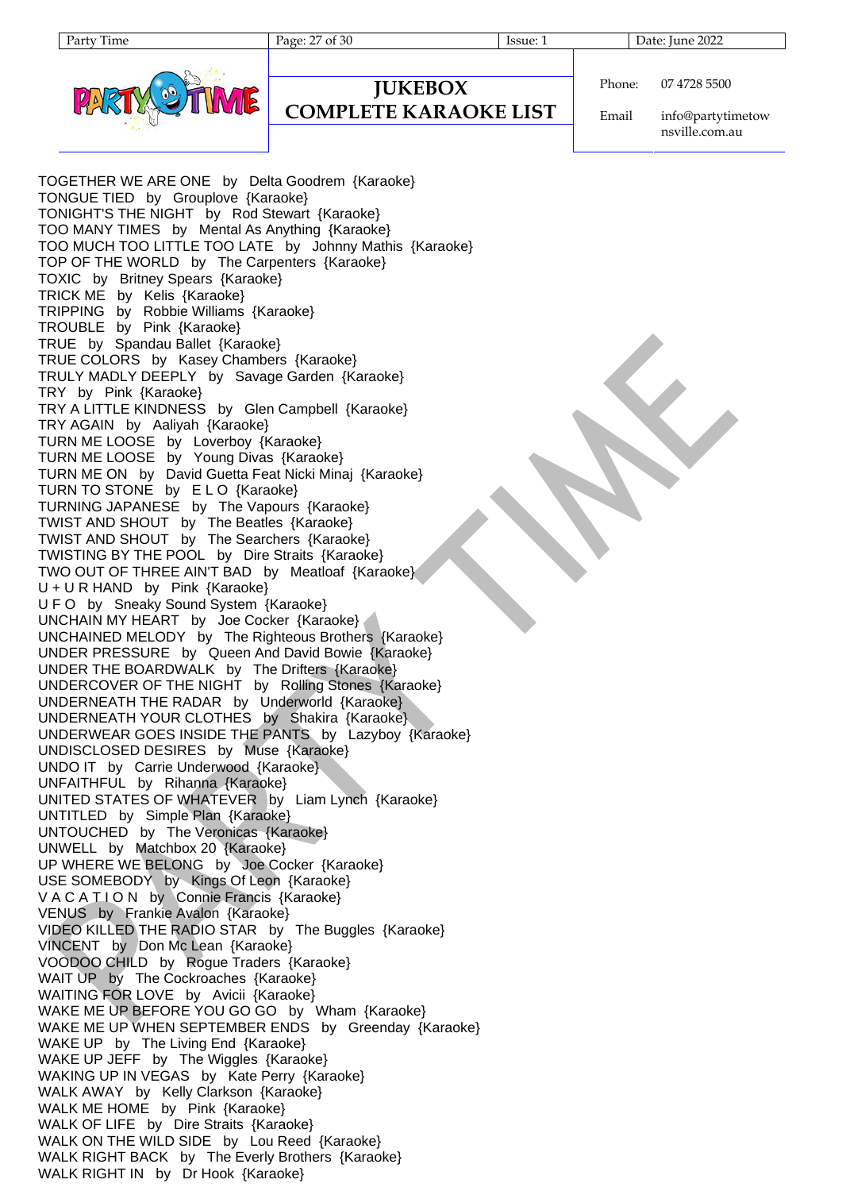

Phone: 07 4728 5500

**JUKEBOX COMPLETE KARAOKE LIST**

Email info@partytimetow nsville.com.au

TOGETHER WE ARE ONE by Delta Goodrem {Karaoke} TONGUE TIED by Grouplove {Karaoke} TONIGHT'S THE NIGHT by Rod Stewart {Karaoke} TOO MANY TIMES by Mental As Anything {Karaoke} TOO MUCH TOO LITTLE TOO LATE by Johnny Mathis {Karaoke} TOP OF THE WORLD by The Carpenters {Karaoke} TOXIC by Britney Spears {Karaoke} TRICK ME by Kelis {Karaoke} TRIPPING by Robbie Williams {Karaoke} TROUBLE by Pink {Karaoke} TRUE by Spandau Ballet {Karaoke} TRUE COLORS by Kasey Chambers {Karaoke} TRULY MADLY DEEPLY by Savage Garden {Karaoke} TRY by Pink {Karaoke} TRY A LITTLE KINDNESS by Glen Campbell {Karaoke} TRY AGAIN by Aaliyah {Karaoke} TURN ME LOOSE by Loverboy {Karaoke} TURN ME LOOSE by Young Divas {Karaoke} TURN ME ON by David Guetta Feat Nicki Minaj {Karaoke} TURN TO STONE by ELO {Karaoke} TURNING JAPANESE by The Vapours {Karaoke} TWIST AND SHOUT by The Beatles {Karaoke} TWIST AND SHOUT by The Searchers {Karaoke} TWISTING BY THE POOL by Dire Straits {Karaoke} TWO OUT OF THREE AIN'T BAD by Meatloaf {Karaoke} U + U R HAND by Pink {Karaoke} U F O by Sneaky Sound System {Karaoke} UNCHAIN MY HEART by Joe Cocker {Karaoke} UNCHAINED MELODY by The Righteous Brothers {Karaoke} UNDER PRESSURE by Queen And David Bowie {Karaoke} UNDER THE BOARDWALK by The Drifters {Karaoke} UNDERCOVER OF THE NIGHT by Rolling Stones {Karaoke} UNDERNEATH THE RADAR by Underworld {Karaoke} UNDERNEATH YOUR CLOTHES by Shakira {Karaoke} UNDERWEAR GOES INSIDE THE PANTS by Lazyboy {Karaoke} UNDISCLOSED DESIRES by Muse {Karaoke} UNDO IT by Carrie Underwood {Karaoke} UNFAITHFUL by Rihanna {Karaoke} UNITED STATES OF WHATEVER by Liam Lynch {Karaoke} UNTITLED by Simple Plan {Karaoke} UNTOUCHED by The Veronicas {Karaoke} UNWELL by Matchbox 20 {Karaoke} UP WHERE WE BELONG by Joe Cocker {Karaoke} USE SOMEBODY by Kings Of Leon {Karaoke} V A C A T I O N by Connie Francis {Karaoke} VENUS by Frankie Avalon {Karaoke} VIDEO KILLED THE RADIO STAR by The Buggles {Karaoke} VINCENT by Don Mc Lean {Karaoke} VOODOO CHILD by Rogue Traders {Karaoke} WAIT UP by The Cockroaches {Karaoke} WAITING FOR LOVE by Avicii {Karaoke} WAKE ME UP BEFORE YOU GO GO by Wham {Karaoke} WAKE ME UP WHEN SEPTEMBER ENDS by Greenday {Karaoke} WAKE UP by The Living End {Karaoke} WAKE UP JEFF by The Wiggles {Karaoke} WAKING UP IN VEGAS by Kate Perry {Karaoke} WALK AWAY by Kelly Clarkson {Karaoke} WALK ME HOME by Pink {Karaoke} WALK OF LIFE by Dire Straits {Karaoke} WALK ON THE WILD SIDE by Lou Reed {Karaoke} WALK RIGHT BACK by The Everly Brothers {Karaoke} WALK RIGHT IN by Dr Hook {Karaoke}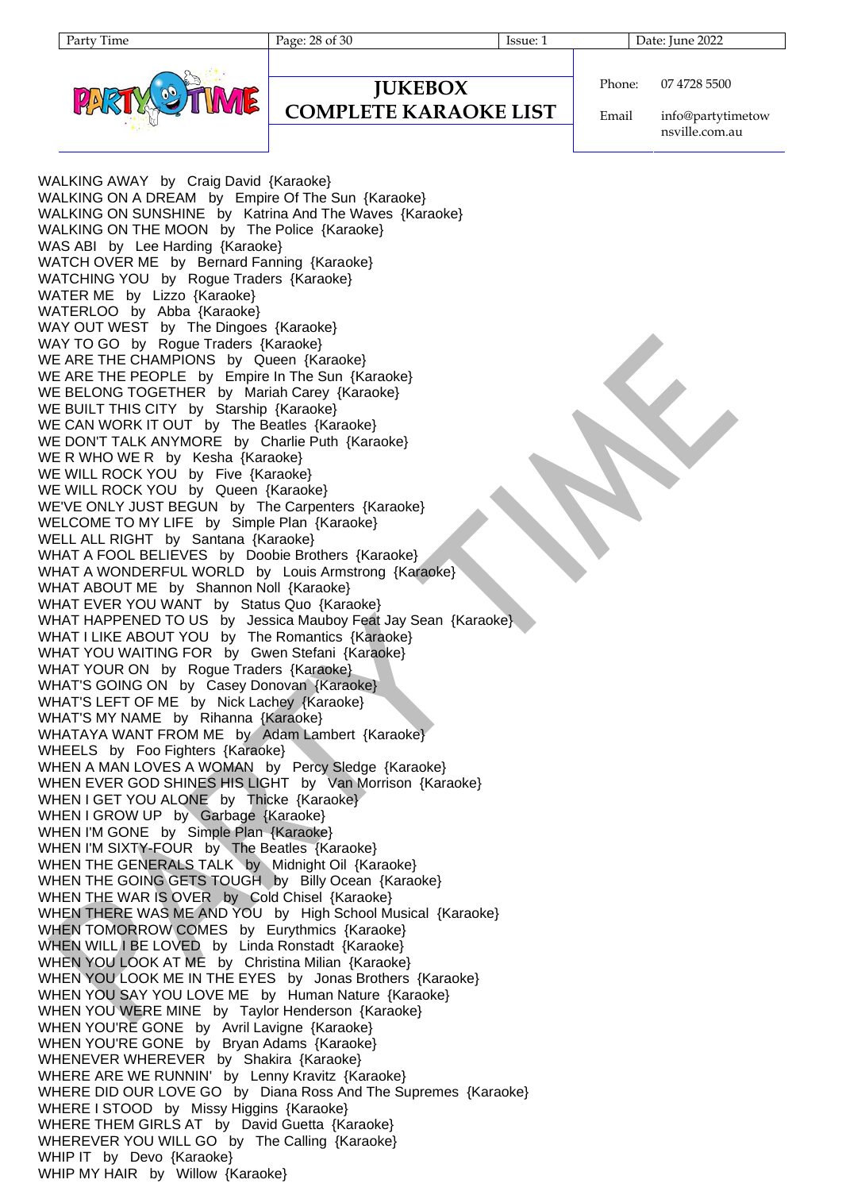Party Time Page: 28 of 30 Issue: 1 Date: June 2022



```
Phone:
          07 4728 5500
```
#### **JUKEBOX COMPLETE KARAOKE LIST**

Email info@partytimetow nsville.com.au

WALKING AWAY by Craig David {Karaoke} WALKING ON A DREAM by Empire Of The Sun {Karaoke} WALKING ON SUNSHINE by Katrina And The Waves {Karaoke} WALKING ON THE MOON by The Police {Karaoke} WAS ABI by Lee Harding {Karaoke} WATCH OVER ME by Bernard Fanning {Karaoke} WATCHING YOU by Rogue Traders {Karaoke} WATER ME by Lizzo {Karaoke} WATERLOO by Abba {Karaoke} WAY OUT WEST by The Dingoes {Karaoke} WAY TO GO by Rogue Traders {Karaoke} WE ARE THE CHAMPIONS by Queen {Karaoke} WE ARE THE PEOPLE by Empire In The Sun {Karaoke} WE BELONG TOGETHER by Mariah Carey {Karaoke} WE BUILT THIS CITY by Starship {Karaoke} WE CAN WORK IT OUT by The Beatles {Karaoke} WE DON'T TALK ANYMORE by Charlie Puth {Karaoke} WE R WHO WE R by Kesha {Karaoke} WE WILL ROCK YOU by Five {Karaoke} WE WILL ROCK YOU by Queen {Karaoke} WE'VE ONLY JUST BEGUN by The Carpenters {Karaoke} WELCOME TO MY LIFE by Simple Plan {Karaoke} WELL ALL RIGHT by Santana {Karaoke} WHAT A FOOL BELIEVES by Doobie Brothers {Karaoke} WHAT A WONDERFUL WORLD by Louis Armstrong {Karaoke} WHAT ABOUT ME by Shannon Noll {Karaoke} WHAT EVER YOU WANT by Status Quo {Karaoke} WHAT HAPPENED TO US by Jessica Mauboy Feat Jay Sean {Karaoke} WHAT I LIKE ABOUT YOU by The Romantics {Karaoke} WHAT YOU WAITING FOR by Gwen Stefani {Karaoke} WHAT YOUR ON by Rogue Traders {Karaoke} WHAT'S GOING ON by Casey Donovan {Karaoke} WHAT'S LEFT OF ME by Nick Lachey {Karaoke} WHAT'S MY NAME by Rihanna {Karaoke} WHATAYA WANT FROM ME by Adam Lambert {Karaoke} WHEELS by Foo Fighters {Karaoke} WHEN A MAN LOVES A WOMAN by Percy Sledge {Karaoke} WHEN EVER GOD SHINES HIS LIGHT by Van Morrison {Karaoke} WHEN I GET YOU ALONE by Thicke {Karaoke} WHEN I GROW UP by Garbage {Karaoke} WHEN I'M GONE by Simple Plan {Karaoke} WHEN I'M SIXTY-FOUR by The Beatles {Karaoke} WHEN THE GENERALS TALK by Midnight Oil {Karaoke} WHEN THE GOING GETS TOUGH by Billy Ocean {Karaoke} WHEN THE WAR IS OVER by Cold Chisel {Karaoke} WHEN THERE WAS ME AND YOU by High School Musical {Karaoke} WHEN TOMORROW COMES by Eurythmics {Karaoke} WHEN WILL I BE LOVED by Linda Ronstadt {Karaoke} WHEN YOU LOOK AT ME by Christina Milian {Karaoke} WHEN YOU LOOK ME IN THE EYES by Jonas Brothers {Karaoke} WHEN YOU SAY YOU LOVE ME by Human Nature {Karaoke} WHEN YOU WERE MINE by Taylor Henderson {Karaoke} WHEN YOU'RE GONE by Avril Lavigne {Karaoke} WHEN YOU'RE GONE by Bryan Adams {Karaoke} WHENEVER WHEREVER by Shakira {Karaoke} WHERE ARE WE RUNNIN' by Lenny Kravitz {Karaoke} WHERE DID OUR LOVE GO by Diana Ross And The Supremes {Karaoke} WHERE I STOOD by Missy Higgins {Karaoke} WHERE THEM GIRLS AT by David Guetta {Karaoke} WHEREVER YOU WILL GO by The Calling {Karaoke} WHIP IT by Devo {Karaoke} WHIP MY HAIR by Willow {Karaoke}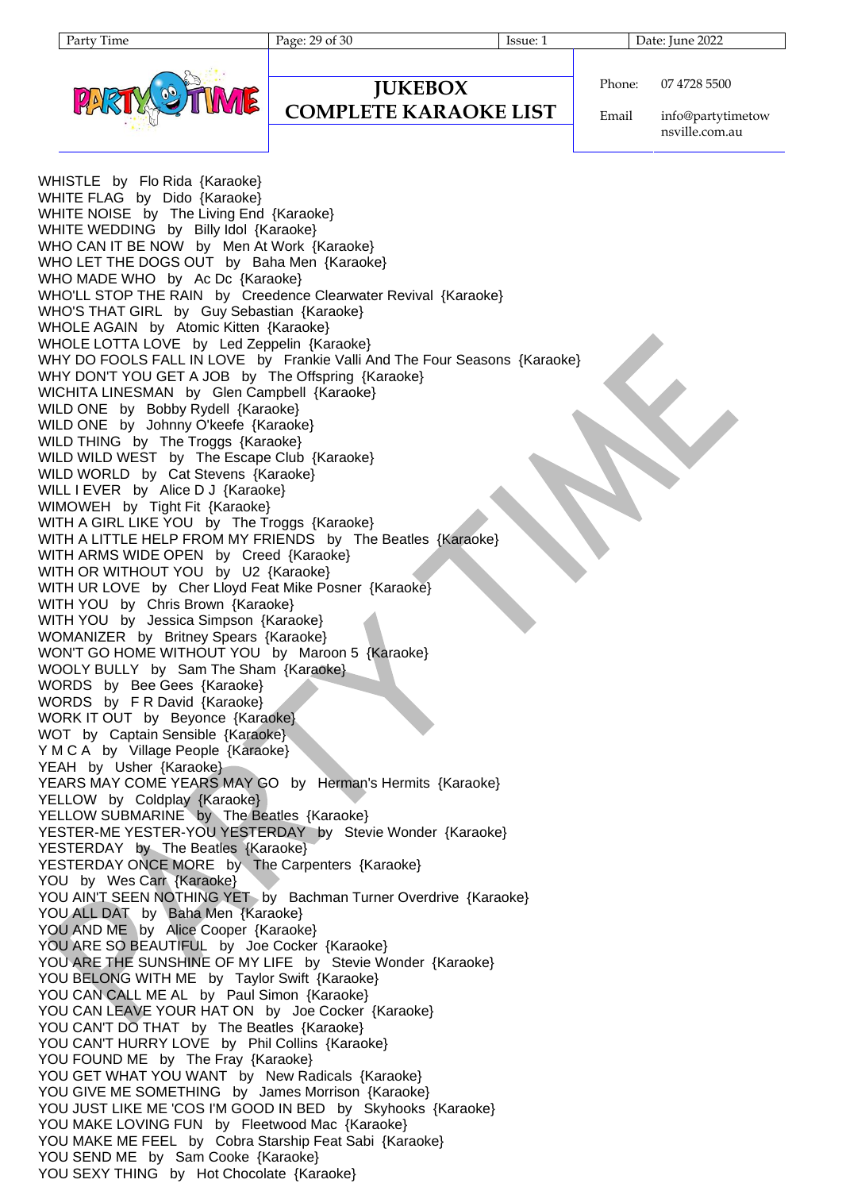Party Time Page: 29 of 30 Issue: 1 Date: June 2022



## **JUKEBOX**

#### **COMPLETE KARAOKE LIST**

Phone: 07 4728 5500

Email info@partytimetow nsville.com.au

WHISTLE by Flo Rida {Karaoke} WHITE FLAG by Dido {Karaoke} WHITE NOISE by The Living End {Karaoke} WHITE WEDDING by Billy Idol {Karaoke} WHO CAN IT BE NOW by Men At Work {Karaoke} WHO LET THE DOGS OUT by Baha Men {Karaoke} WHO MADE WHO by Ac Dc {Karaoke} WHO'LL STOP THE RAIN by Creedence Clearwater Revival {Karaoke} WHO'S THAT GIRL by Guy Sebastian {Karaoke} WHOLE AGAIN by Atomic Kitten {Karaoke} WHOLE LOTTA LOVE by Led Zeppelin {Karaoke} WHY DO FOOLS FALL IN LOVE by Frankie Valli And The Four Seasons {Karaoke} WHY DON'T YOU GET A JOB by The Offspring {Karaoke} WICHITA LINESMAN by Glen Campbell {Karaoke} WILD ONE by Bobby Rydell {Karaoke} WILD ONE by Johnny O'keefe {Karaoke} WILD THING by The Troggs {Karaoke} WILD WILD WEST by The Escape Club {Karaoke} WILD WORLD by Cat Stevens {Karaoke} WILL I EVER by Alice D J {Karaoke} WIMOWEH by Tight Fit {Karaoke} WITH A GIRL LIKE YOU by The Troggs {Karaoke} WITH A LITTLE HELP FROM MY FRIENDS by The Beatles {Karaoke} WITH ARMS WIDE OPEN by Creed {Karaoke} WITH OR WITHOUT YOU by U2 {Karaoke} WITH UR LOVE by Cher Lloyd Feat Mike Posner {Karaoke} WITH YOU by Chris Brown {Karaoke} WITH YOU by Jessica Simpson {Karaoke} WOMANIZER by Britney Spears {Karaoke} WON'T GO HOME WITHOUT YOU by Maroon 5 {Karaoke} WOOLY BULLY by Sam The Sham {Karaoke} WORDS by Bee Gees {Karaoke} WORDS by F R David {Karaoke} WORK IT OUT by Beyonce {Karaoke} WOT by Captain Sensible {Karaoke} Y M C A by Village People {Karaoke} YEAH by Usher {Karaoke} YEARS MAY COME YEARS MAY GO by Herman's Hermits {Karaoke} YELLOW by Coldplay {Karaoke} YELLOW SUBMARINE by The Beatles {Karaoke} YESTER-ME YESTER-YOU YESTERDAY by Stevie Wonder {Karaoke} YESTERDAY by The Beatles {Karaoke} YESTERDAY ONCE MORE by The Carpenters {Karaoke} YOU by Wes Carr {Karaoke} YOU AIN'T SEEN NOTHING YET by Bachman Turner Overdrive {Karaoke} YOU ALL DAT by Baha Men {Karaoke} YOU AND ME by Alice Cooper {Karaoke} YOU ARE SO BEAUTIFUL by Joe Cocker {Karaoke} YOU ARE THE SUNSHINE OF MY LIFE by Stevie Wonder {Karaoke} YOU BELONG WITH ME by Taylor Swift {Karaoke} YOU CAN CALL ME AL by Paul Simon {Karaoke} YOU CAN LEAVE YOUR HAT ON by Joe Cocker {Karaoke} YOU CAN'T DO THAT by The Beatles {Karaoke} YOU CAN'T HURRY LOVE by Phil Collins {Karaoke} YOU FOUND ME by The Fray {Karaoke} YOU GET WHAT YOU WANT by New Radicals {Karaoke} YOU GIVE ME SOMETHING by James Morrison {Karaoke} YOU JUST LIKE ME 'COS I'M GOOD IN BED by Skyhooks {Karaoke} YOU MAKE LOVING FUN by Fleetwood Mac {Karaoke} YOU MAKE ME FEEL by Cobra Starship Feat Sabi {Karaoke} YOU SEND ME by Sam Cooke {Karaoke} YOU SEXY THING by Hot Chocolate {Karaoke}